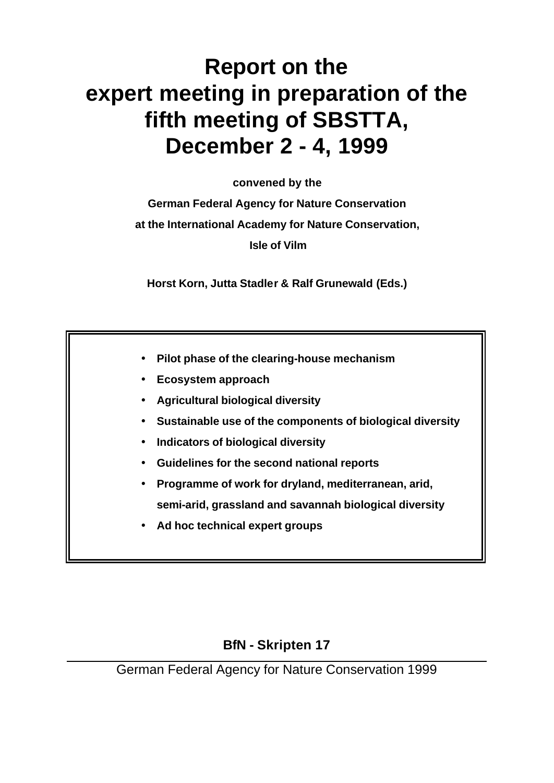# **Report on the expert meeting in preparation of the fifth meeting of SBSTTA, December 2 - 4, 1999**

**convened by the** 

**German Federal Agency for Nature Conservation at the International Academy for Nature Conservation, Isle of Vilm**

**Horst Korn, Jutta Stadler & Ralf Grunewald (Eds.)**

- **Pilot phase of the clearing-house mechanism**
- **Ecosystem approach**
- **Agricultural biological diversity**
- **Sustainable use of the components of biological diversity**
- **Indicators of biological diversity**
- **Guidelines for the second national reports**
- **Programme of work for dryland, mediterranean, arid, semi-arid, grassland and savannah biological diversity**
- **Ad hoc technical expert groups**

# **BfN - Skripten 17**

German Federal Agency for Nature Conservation 1999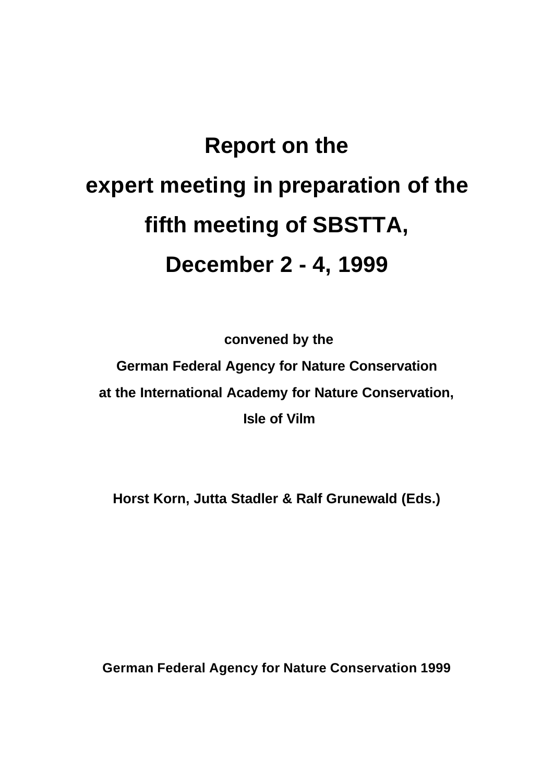# **Report on the expert meeting in preparation of the fifth meeting of SBSTTA, December 2 - 4, 1999**

 **convened by the** 

**German Federal Agency for Nature Conservation at the International Academy for Nature Conservation, Isle of Vilm**

**Horst Korn, Jutta Stadler & Ralf Grunewald (Eds.)**

**German Federal Agency for Nature Conservation 1999**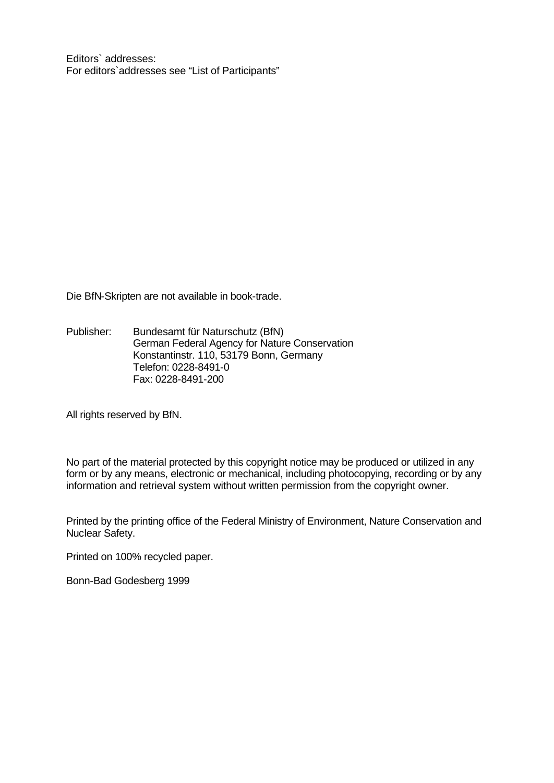Editors` addresses: For editors`addresses see "List of Participants"

Die BfN-Skripten are not available in book-trade.

Publisher: Bundesamt für Naturschutz (BfN) German Federal Agency for Nature Conservation Konstantinstr. 110, 53179 Bonn, Germany Telefon: 0228-8491-0 Fax: 0228-8491-200

All rights reserved by BfN.

No part of the material protected by this copyright notice may be produced or utilized in any form or by any means, electronic or mechanical, including photocopying, recording or by any information and retrieval system without written permission from the copyright owner.

Printed by the printing office of the Federal Ministry of Environment, Nature Conservation and Nuclear Safety.

Printed on 100% recycled paper.

Bonn-Bad Godesberg 1999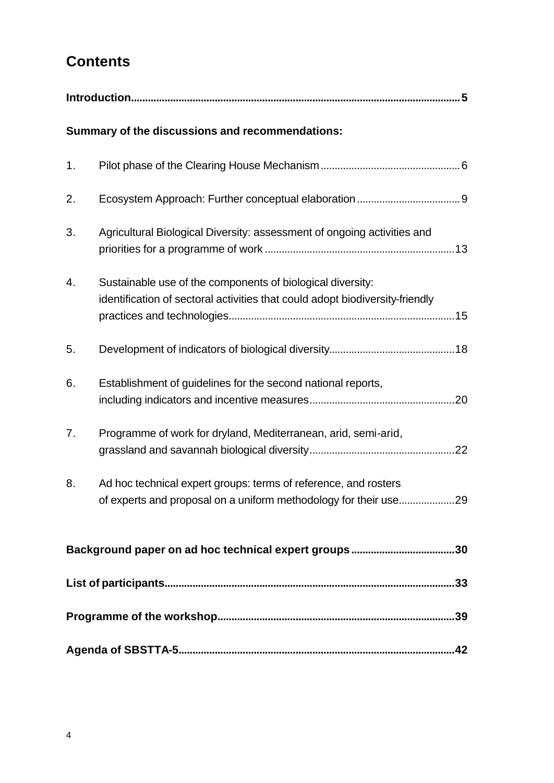# **Contents**

|                | Summary of the discussions and recommendations:                                                                                            |  |  |
|----------------|--------------------------------------------------------------------------------------------------------------------------------------------|--|--|
| 1.             |                                                                                                                                            |  |  |
| 2.             |                                                                                                                                            |  |  |
| 3.             | Agricultural Biological Diversity: assessment of ongoing activities and                                                                    |  |  |
| 4.             | Sustainable use of the components of biological diversity:<br>identification of sectoral activities that could adopt biodiversity-friendly |  |  |
| 5.             |                                                                                                                                            |  |  |
| 6.             | Establishment of guidelines for the second national reports,                                                                               |  |  |
| 7 <sub>1</sub> | Programme of work for dryland, Mediterranean, arid, semi-arid,                                                                             |  |  |
| 8.             | Ad hoc technical expert groups: terms of reference, and rosters<br>of experts and proposal on a uniform methodology for their use29        |  |  |
|                |                                                                                                                                            |  |  |
|                |                                                                                                                                            |  |  |
|                |                                                                                                                                            |  |  |
|                |                                                                                                                                            |  |  |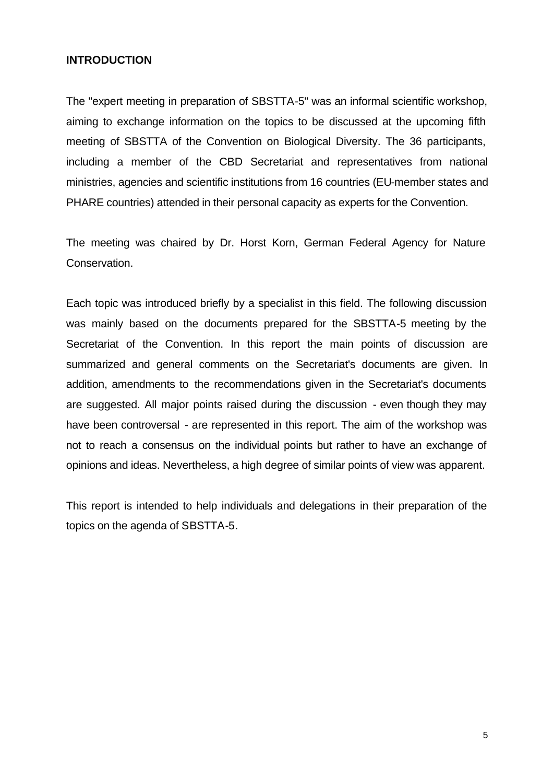#### **INTRODUCTION**

The "expert meeting in preparation of SBSTTA-5" was an informal scientific workshop, aiming to exchange information on the topics to be discussed at the upcoming fifth meeting of SBSTTA of the Convention on Biological Diversity. The 36 participants, including a member of the CBD Secretariat and representatives from national ministries, agencies and scientific institutions from 16 countries (EU-member states and PHARE countries) attended in their personal capacity as experts for the Convention.

The meeting was chaired by Dr. Horst Korn, German Federal Agency for Nature Conservation.

Each topic was introduced briefly by a specialist in this field. The following discussion was mainly based on the documents prepared for the SBSTTA-5 meeting by the Secretariat of the Convention. In this report the main points of discussion are summarized and general comments on the Secretariat's documents are given. In addition, amendments to the recommendations given in the Secretariat's documents are suggested. All major points raised during the discussion - even though they may have been controversal - are represented in this report. The aim of the workshop was not to reach a consensus on the individual points but rather to have an exchange of opinions and ideas. Nevertheless, a high degree of similar points of view was apparent.

This report is intended to help individuals and delegations in their preparation of the topics on the agenda of SBSTTA-5.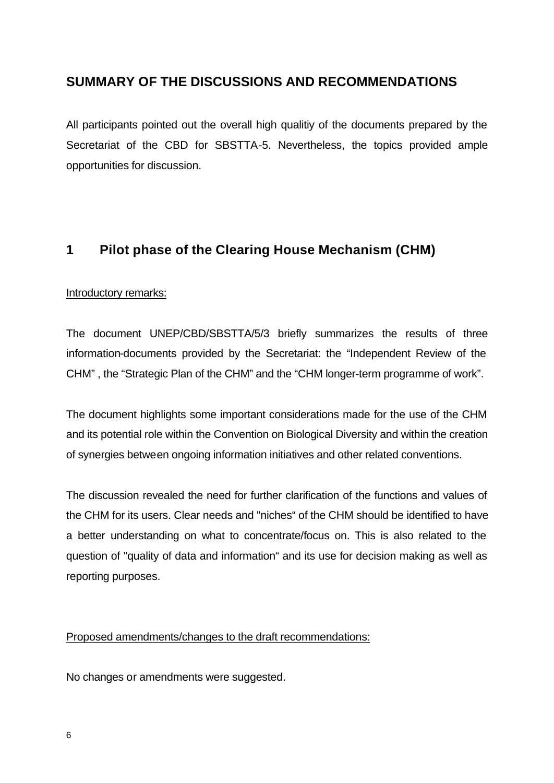### **SUMMARY OF THE DISCUSSIONS AND RECOMMENDATIONS**

All participants pointed out the overall high qualitiy of the documents prepared by the Secretariat of the CBD for SBSTTA-5. Nevertheless, the topics provided ample opportunities for discussion.

### **1 Pilot phase of the Clearing House Mechanism (CHM)**

#### Introductory remarks:

The document UNEP/CBD/SBSTTA/5/3 briefly summarizes the results of three information-documents provided by the Secretariat: the "Independent Review of the CHM" , the "Strategic Plan of the CHM" and the "CHM longer-term programme of work".

The document highlights some important considerations made for the use of the CHM and its potential role within the Convention on Biological Diversity and within the creation of synergies between ongoing information initiatives and other related conventions.

The discussion revealed the need for further clarification of the functions and values of the CHM for its users. Clear needs and "niches" of the CHM should be identified to have a better understanding on what to concentrate/focus on. This is also related to the question of "quality of data and information" and its use for decision making as well as reporting purposes.

#### Proposed amendments/changes to the draft recommendations:

No changes or amendments were suggested.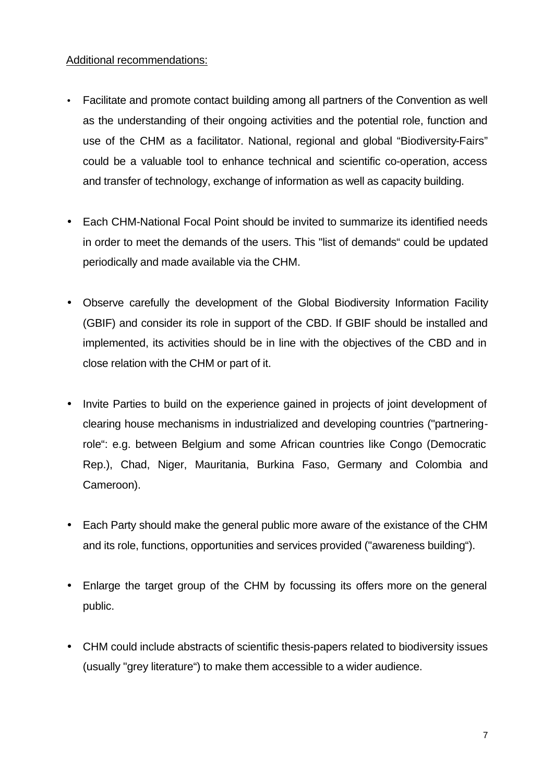#### Additional recommendations:

- Facilitate and promote contact building among all partners of the Convention as well as the understanding of their ongoing activities and the potential role, function and use of the CHM as a facilitator. National, regional and global "Biodiversity-Fairs" could be a valuable tool to enhance technical and scientific co-operation, access and transfer of technology, exchange of information as well as capacity building.
- Each CHM-National Focal Point should be invited to summarize its identified needs in order to meet the demands of the users. This "list of demands" could be updated periodically and made available via the CHM.
- Observe carefully the development of the Global Biodiversity Information Facility (GBIF) and consider its role in support of the CBD. If GBIF should be installed and implemented, its activities should be in line with the objectives of the CBD and in close relation with the CHM or part of it.
- Invite Parties to build on the experience gained in projects of joint development of clearing house mechanisms in industrialized and developing countries ("partneringrole": e.g. between Belgium and some African countries like Congo (Democratic Rep.), Chad, Niger, Mauritania, Burkina Faso, Germany and Colombia and Cameroon).
- Each Party should make the general public more aware of the existance of the CHM and its role, functions, opportunities and services provided ("awareness building").
- Enlarge the target group of the CHM by focussing its offers more on the general public.
- CHM could include abstracts of scientific thesis-papers related to biodiversity issues (usually "grey literature") to make them accessible to a wider audience.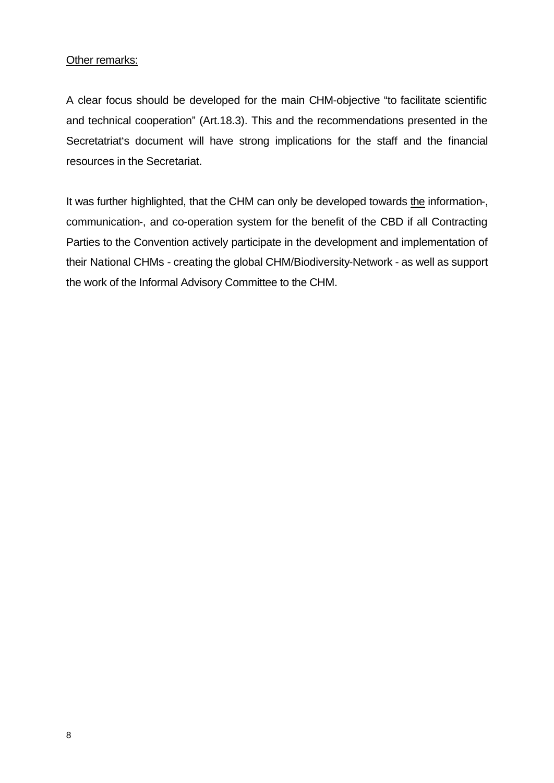#### Other remarks:

A clear focus should be developed for the main CHM-objective "to facilitate scientific and technical cooperation" (Art.18.3). This and the recommendations presented in the Secretatriat's document will have strong implications for the staff and the financial resources in the Secretariat.

It was further highlighted, that the CHM can only be developed towards the information-, communication-, and co-operation system for the benefit of the CBD if all Contracting Parties to the Convention actively participate in the development and implementation of their National CHMs - creating the global CHM/Biodiversity-Network - as well as support the work of the Informal Advisory Committee to the CHM.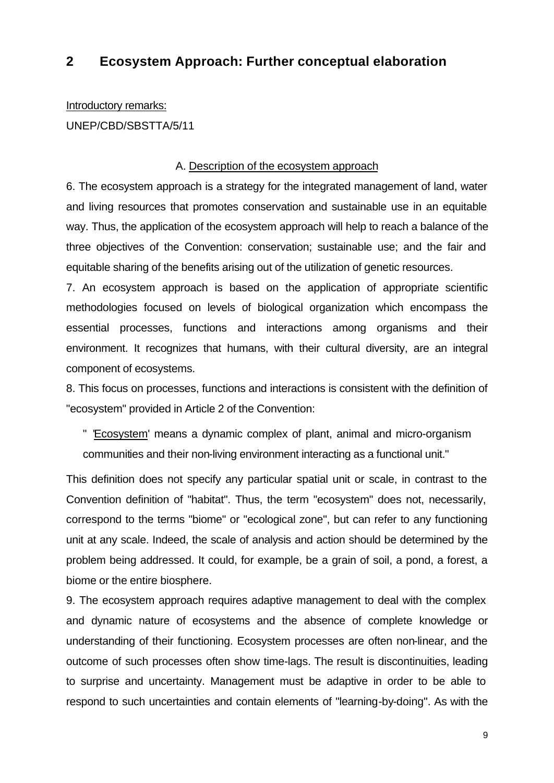### **2 Ecosystem Approach: Further conceptual elaboration**

Introductory remarks:

UNEP/CBD/SBSTTA/5/11

#### A. Description of the ecosystem approach

6. The ecosystem approach is a strategy for the integrated management of land, water and living resources that promotes conservation and sustainable use in an equitable way. Thus, the application of the ecosystem approach will help to reach a balance of the three objectives of the Convention: conservation; sustainable use; and the fair and equitable sharing of the benefits arising out of the utilization of genetic resources.

7. An ecosystem approach is based on the application of appropriate scientific methodologies focused on levels of biological organization which encompass the essential processes, functions and interactions among organisms and their environment. It recognizes that humans, with their cultural diversity, are an integral component of ecosystems.

8. This focus on processes, functions and interactions is consistent with the definition of "ecosystem" provided in Article 2 of the Convention:

" 'Ecosystem' means a dynamic complex of plant, animal and micro-organism communities and their non-living environment interacting as a functional unit."

This definition does not specify any particular spatial unit or scale, in contrast to the Convention definition of "habitat". Thus, the term "ecosystem" does not, necessarily, correspond to the terms "biome" or "ecological zone", but can refer to any functioning unit at any scale. Indeed, the scale of analysis and action should be determined by the problem being addressed. It could, for example, be a grain of soil, a pond, a forest, a biome or the entire biosphere.

9. The ecosystem approach requires adaptive management to deal with the complex and dynamic nature of ecosystems and the absence of complete knowledge or understanding of their functioning. Ecosystem processes are often non-linear, and the outcome of such processes often show time-lags. The result is discontinuities, leading to surprise and uncertainty. Management must be adaptive in order to be able to respond to such uncertainties and contain elements of "learning-by-doing". As with the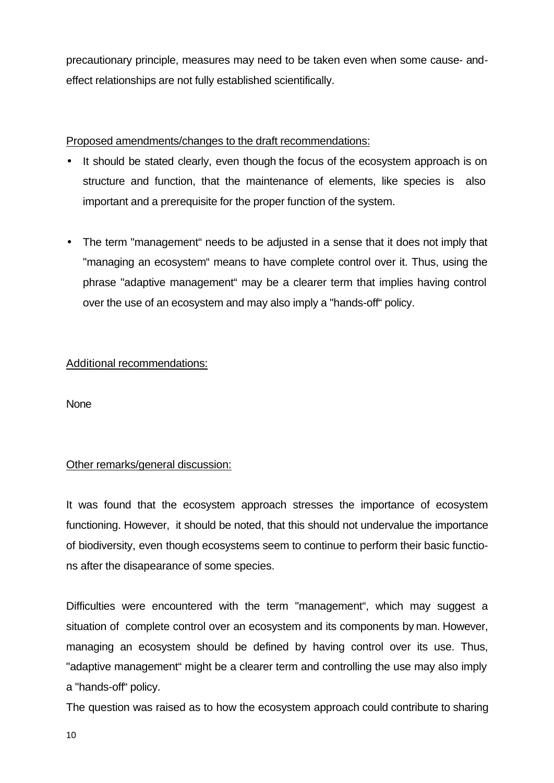precautionary principle, measures may need to be taken even when some cause- andeffect relationships are not fully established scientifically.

#### Proposed amendments/changes to the draft recommendations:

- It should be stated clearly, even though the focus of the ecosystem approach is on structure and function, that the maintenance of elements, like species is also important and a prerequisite for the proper function of the system.
- The term "management" needs to be adjusted in a sense that it does not imply that "managing an ecosystem" means to have complete control over it. Thus, using the phrase "adaptive management" may be a clearer term that implies having control over the use of an ecosystem and may also imply a "hands-off" policy.

#### Additional recommendations:

**None** 

#### Other remarks/general discussion:

It was found that the ecosystem approach stresses the importance of ecosystem functioning. However, it should be noted, that this should not undervalue the importance of biodiversity, even though ecosystems seem to continue to perform their basic functions after the disapearance of some species.

Difficulties were encountered with the term "management", which may suggest a situation of complete control over an ecosystem and its components by man. However, managing an ecosystem should be defined by having control over its use. Thus, "adaptive management" might be a clearer term and controlling the use may also imply a "hands-off" policy.

The question was raised as to how the ecosystem approach could contribute to sharing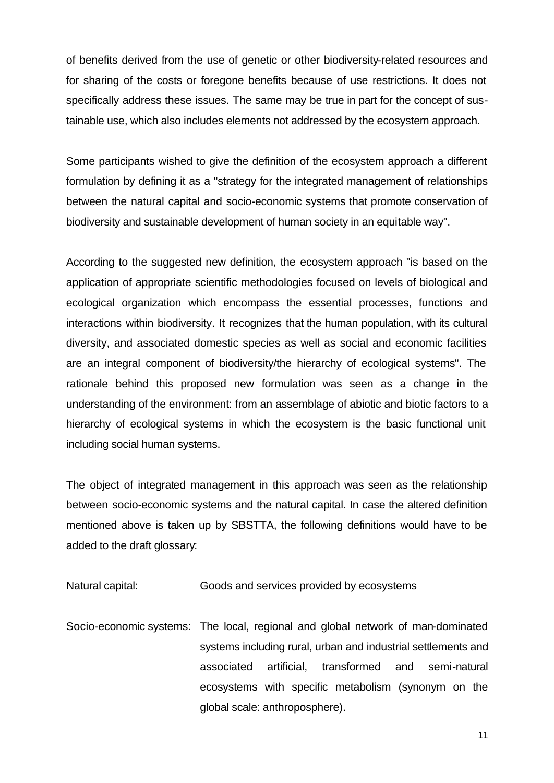of benefits derived from the use of genetic or other biodiversity-related resources and for sharing of the costs or foregone benefits because of use restrictions. It does not specifically address these issues. The same may be true in part for the concept of sustainable use, which also includes elements not addressed by the ecosystem approach.

Some participants wished to give the definition of the ecosystem approach a different formulation by defining it as a "strategy for the integrated management of relationships between the natural capital and socio-economic systems that promote conservation of biodiversity and sustainable development of human society in an equitable way".

According to the suggested new definition, the ecosystem approach "is based on the application of appropriate scientific methodologies focused on levels of biological and ecological organization which encompass the essential processes, functions and interactions within biodiversity. It recognizes that the human population, with its cultural diversity, and associated domestic species as well as social and economic facilities are an integral component of biodiversity/the hierarchy of ecological systems". The rationale behind this proposed new formulation was seen as a change in the understanding of the environment: from an assemblage of abiotic and biotic factors to a hierarchy of ecological systems in which the ecosystem is the basic functional unit including social human systems.

The object of integrated management in this approach was seen as the relationship between socio-economic systems and the natural capital. In case the altered definition mentioned above is taken up by SBSTTA, the following definitions would have to be added to the draft glossary:

| Natural capital: | Goods and services provided by ecosystems |
|------------------|-------------------------------------------|
|------------------|-------------------------------------------|

Socio-economic systems: The local, regional and global network of man-dominated systems including rural, urban and industrial settlements and associated artificial, transformed and semi-natural ecosystems with specific metabolism (synonym on the global scale: anthroposphere).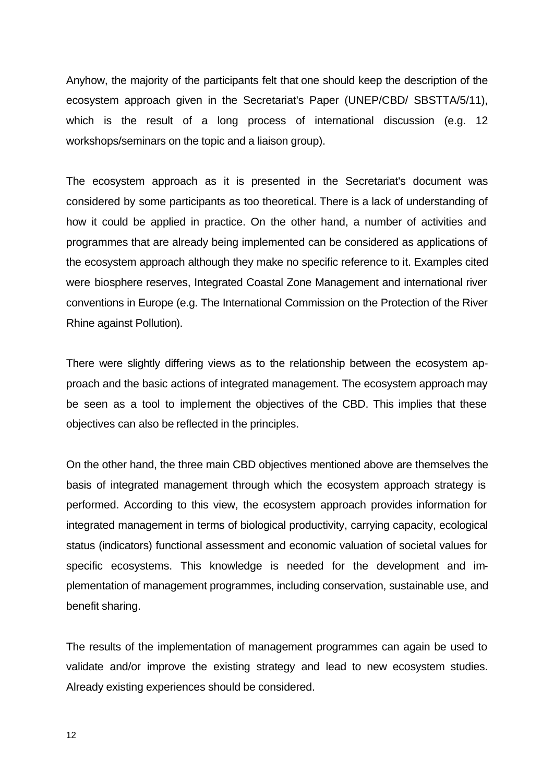Anyhow, the majority of the participants felt that one should keep the description of the ecosystem approach given in the Secretariat's Paper (UNEP/CBD/ SBSTTA/5/11), which is the result of a long process of international discussion (e.g. 12 workshops/seminars on the topic and a liaison group).

The ecosystem approach as it is presented in the Secretariat's document was considered by some participants as too theoretical. There is a lack of understanding of how it could be applied in practice. On the other hand, a number of activities and programmes that are already being implemented can be considered as applications of the ecosystem approach although they make no specific reference to it. Examples cited were biosphere reserves, Integrated Coastal Zone Management and international river conventions in Europe (e.g. The International Commission on the Protection of the River Rhine against Pollution).

There were slightly differing views as to the relationship between the ecosystem approach and the basic actions of integrated management. The ecosystem approach may be seen as a tool to implement the objectives of the CBD. This implies that these objectives can also be reflected in the principles.

On the other hand, the three main CBD objectives mentioned above are themselves the basis of integrated management through which the ecosystem approach strategy is performed. According to this view, the ecosystem approach provides information for integrated management in terms of biological productivity, carrying capacity, ecological status (indicators) functional assessment and economic valuation of societal values for specific ecosystems. This knowledge is needed for the development and implementation of management programmes, including conservation, sustainable use, and benefit sharing.

The results of the implementation of management programmes can again be used to validate and/or improve the existing strategy and lead to new ecosystem studies. Already existing experiences should be considered.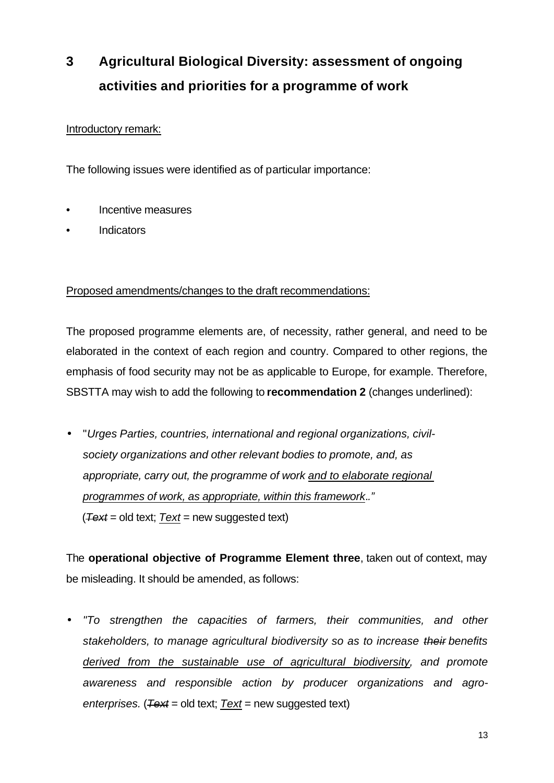# **3 Agricultural Biological Diversity: assessment of ongoing activities and priorities for a programme of work**

#### Introductory remark:

The following issues were identified as of particular importance:

- Incentive measures
- Indicators

#### Proposed amendments/changes to the draft recommendations:

The proposed programme elements are, of necessity, rather general, and need to be elaborated in the context of each region and country. Compared to other regions, the emphasis of food security may not be as applicable to Europe, for example. Therefore, SBSTTA may wish to add the following to **recommendation 2** (changes underlined):

• "*Urges Parties, countries, international and regional organizations, civilsociety organizations and other relevant bodies to promote, and, as appropriate, carry out, the programme of work and to elaborate regional programmes of work, as appropriate, within this framework*.*."* (*Text* = old text; *Text* = new suggested text)

The **operational objective of Programme Element three**, taken out of context, may be misleading. It should be amended, as follows:

• *"To strengthen the capacities of farmers, their communities, and other stakeholders, to manage agricultural biodiversity so as to increase their benefits derived from the sustainable use of agricultural biodiversity, and promote awareness and responsible action by producer organizations and agroenterprises.* (*Text* = old text; *Text* = new suggested text)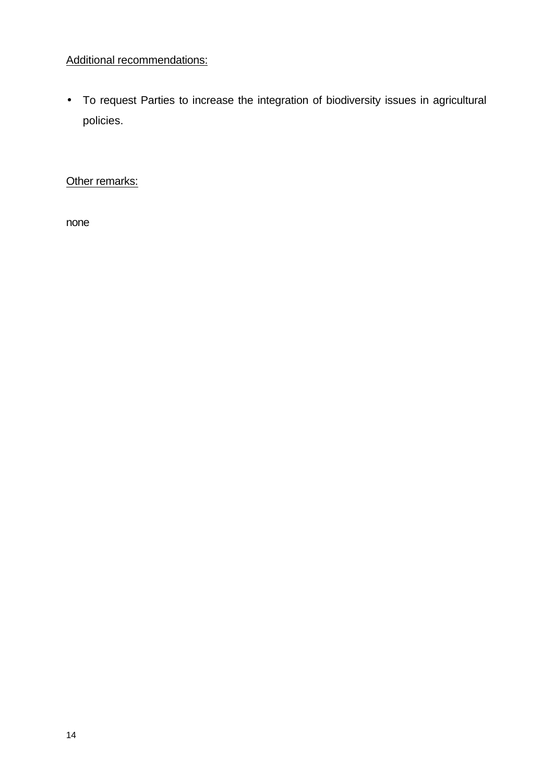### Additional recommendations:

• To request Parties to increase the integration of biodiversity issues in agricultural policies.

Other remarks:

none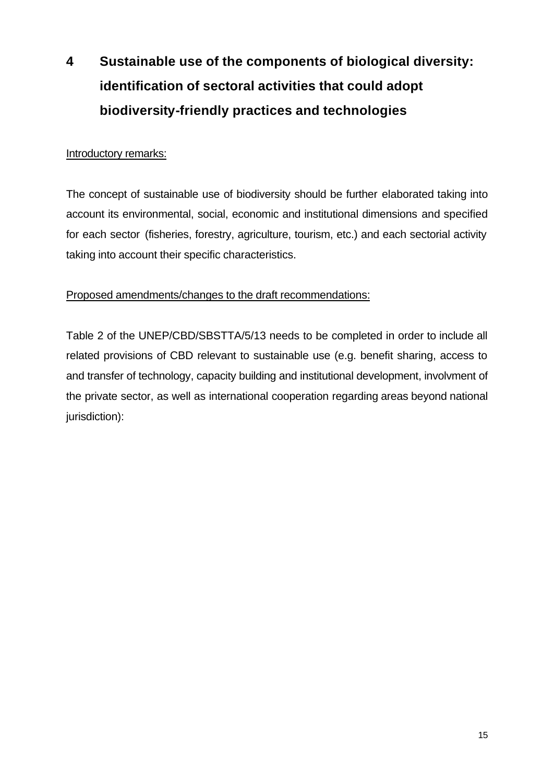# **4 Sustainable use of the components of biological diversity: identification of sectoral activities that could adopt biodiversity-friendly practices and technologies**

#### Introductory remarks:

The concept of sustainable use of biodiversity should be further elaborated taking into account its environmental, social, economic and institutional dimensions and specified for each sector (fisheries, forestry, agriculture, tourism, etc.) and each sectorial activity taking into account their specific characteristics.

#### Proposed amendments/changes to the draft recommendations:

Table 2 of the UNEP/CBD/SBSTTA/5/13 needs to be completed in order to include all related provisions of CBD relevant to sustainable use (e.g. benefit sharing, access to and transfer of technology, capacity building and institutional development, involvment of the private sector, as well as international cooperation regarding areas beyond national jurisdiction):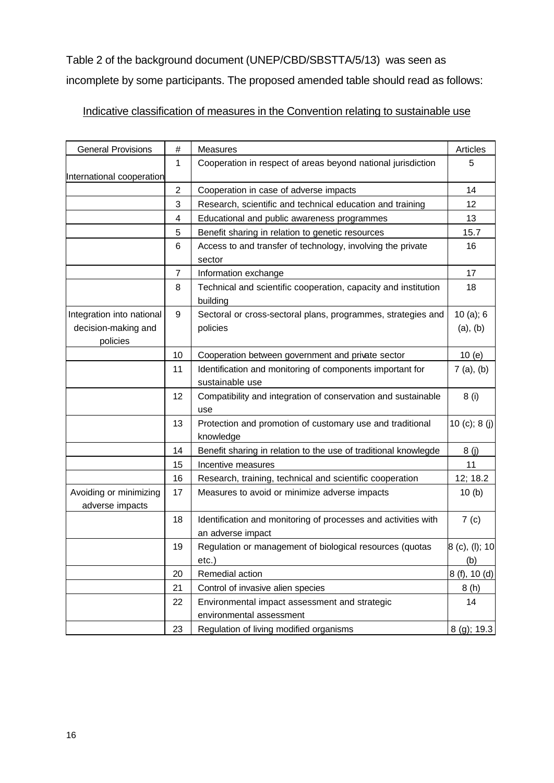Table 2 of the background document (UNEP/CBD/SBSTTA/5/13) was seen as incomplete by some participants. The proposed amended table should read as follows:

### Indicative classification of measures in the Convention relating to sustainable use

| <b>General Provisions</b>                                    | $\#$           | Measures                                                                            | Articles              |
|--------------------------------------------------------------|----------------|-------------------------------------------------------------------------------------|-----------------------|
| International cooperation                                    | 1              | Cooperation in respect of areas beyond national jurisdiction                        | 5                     |
|                                                              | $\overline{2}$ | Cooperation in case of adverse impacts                                              | 14                    |
|                                                              | 3              | Research, scientific and technical education and training                           | 12                    |
|                                                              | 4              | Educational and public awareness programmes                                         | 13                    |
|                                                              | 5              | Benefit sharing in relation to genetic resources                                    | 15.7                  |
|                                                              | 6              | Access to and transfer of technology, involving the private<br>sector               | 16                    |
|                                                              | 7              | Information exchange                                                                | 17                    |
|                                                              | 8              | Technical and scientific cooperation, capacity and institution<br>building          | 18                    |
| Integration into national<br>decision-making and<br>policies | 9              | Sectoral or cross-sectoral plans, programmes, strategies and<br>policies            | 10 (a); 6<br>(a), (b) |
|                                                              | 10             | Cooperation between government and private sector                                   | 10(e)                 |
|                                                              | 11             | Identification and monitoring of components important for<br>sustainable use        | 7(a), (b)             |
|                                                              | 12             | Compatibility and integration of conservation and sustainable<br>use                | 8(i)                  |
|                                                              | 13             | Protection and promotion of customary use and traditional<br>knowledge              | 10 $(c)$ ; 8 $(j)$    |
|                                                              | 14             | Benefit sharing in relation to the use of traditional knowlegde                     | 8(j)                  |
|                                                              | 15             | Incentive measures                                                                  | 11                    |
|                                                              | 16             | Research, training, technical and scientific cooperation                            | 12; 18.2              |
| Avoiding or minimizing<br>adverse impacts                    | 17             | Measures to avoid or minimize adverse impacts                                       | 10(b)                 |
|                                                              | 18             | Identification and monitoring of processes and activities with<br>an adverse impact | 7 <sub>(c)</sub>      |
|                                                              | 19             | Regulation or management of biological resources (quotas<br>$etc.$ )                | 8 (c), (l); 10<br>(b) |
|                                                              | 20             | Remedial action                                                                     | 8 (f), 10 (d)         |
|                                                              | 21             | Control of invasive alien species                                                   | 8(h)                  |
|                                                              | 22             | Environmental impact assessment and strategic<br>environmental assessment           | 14                    |
|                                                              | 23             | Regulation of living modified organisms                                             | 8 (g); 19.3           |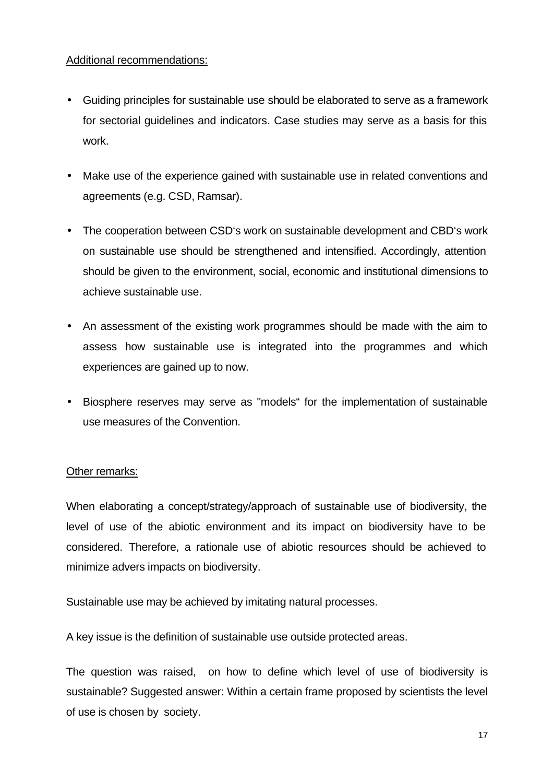#### Additional recommendations:

- Guiding principles for sustainable use should be elaborated to serve as a framework for sectorial guidelines and indicators. Case studies may serve as a basis for this work.
- Make use of the experience gained with sustainable use in related conventions and agreements (e.g. CSD, Ramsar).
- The cooperation between CSD's work on sustainable development and CBD's work on sustainable use should be strengthened and intensified. Accordingly, attention should be given to the environment, social, economic and institutional dimensions to achieve sustainable use.
- An assessment of the existing work programmes should be made with the aim to assess how sustainable use is integrated into the programmes and which experiences are gained up to now.
- Biosphere reserves may serve as "models" for the implementation of sustainable use measures of the Convention.

#### Other remarks:

When elaborating a concept/strategy/approach of sustainable use of biodiversity, the level of use of the abiotic environment and its impact on biodiversity have to be considered. Therefore, a rationale use of abiotic resources should be achieved to minimize advers impacts on biodiversity.

Sustainable use may be achieved by imitating natural processes.

A key issue is the definition of sustainable use outside protected areas.

The question was raised, on how to define which level of use of biodiversity is sustainable? Suggested answer: Within a certain frame proposed by scientists the level of use is chosen by society.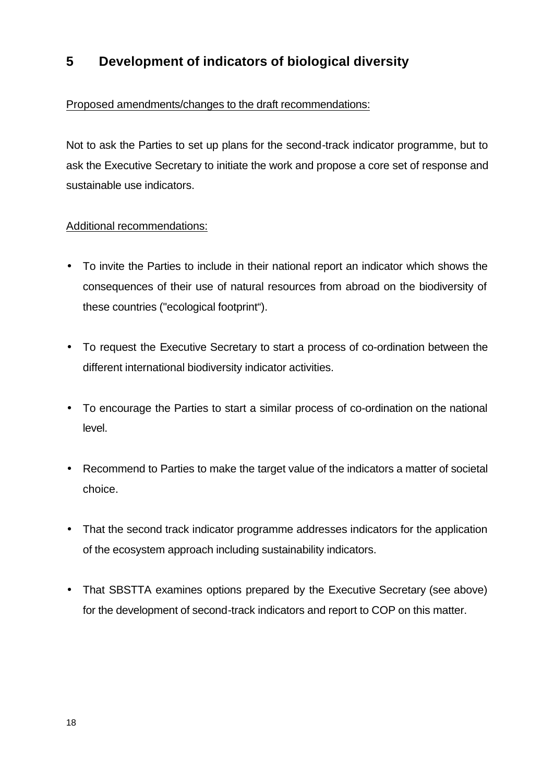### **5 Development of indicators of biological diversity**

#### Proposed amendments/changes to the draft recommendations:

Not to ask the Parties to set up plans for the second-track indicator programme, but to ask the Executive Secretary to initiate the work and propose a core set of response and sustainable use indicators.

#### Additional recommendations:

- To invite the Parties to include in their national report an indicator which shows the consequences of their use of natural resources from abroad on the biodiversity of these countries ("ecological footprint").
- To request the Executive Secretary to start a process of co-ordination between the different international biodiversity indicator activities.
- To encourage the Parties to start a similar process of co-ordination on the national level.
- Recommend to Parties to make the target value of the indicators a matter of societal choice.
- That the second track indicator programme addresses indicators for the application of the ecosystem approach including sustainability indicators.
- That SBSTTA examines options prepared by the Executive Secretary (see above) for the development of second-track indicators and report to COP on this matter.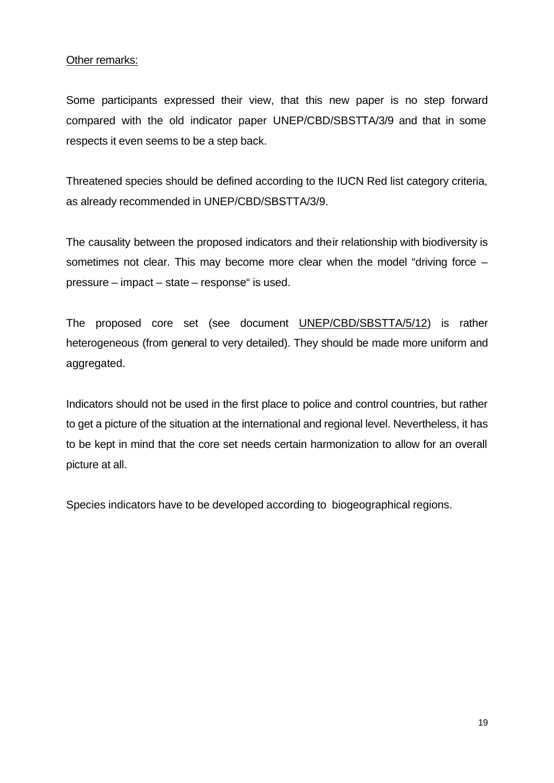#### Other remarks:

Some participants expressed their view, that this new paper is no step forward compared with the old indicator paper UNEP/CBD/SBSTTA/3/9 and that in some respects it even seems to be a step back.

Threatened species should be defined according to the IUCN Red list category criteria, as already recommended in UNEP/CBD/SBSTTA/3/9.

The causality between the proposed indicators and their relationship with biodiversity is sometimes not clear. This may become more clear when the model "driving force – pressure – impact – state – response" is used.

The proposed core set (see document UNEP/CBD/SBSTTA/5/12) is rather heterogeneous (from general to very detailed). They should be made more uniform and aggregated.

Indicators should not be used in the first place to police and control countries, but rather to get a picture of the situation at the international and regional level. Nevertheless, it has to be kept in mind that the core set needs certain harmonization to allow for an overall picture at all.

Species indicators have to be developed according to biogeographical regions.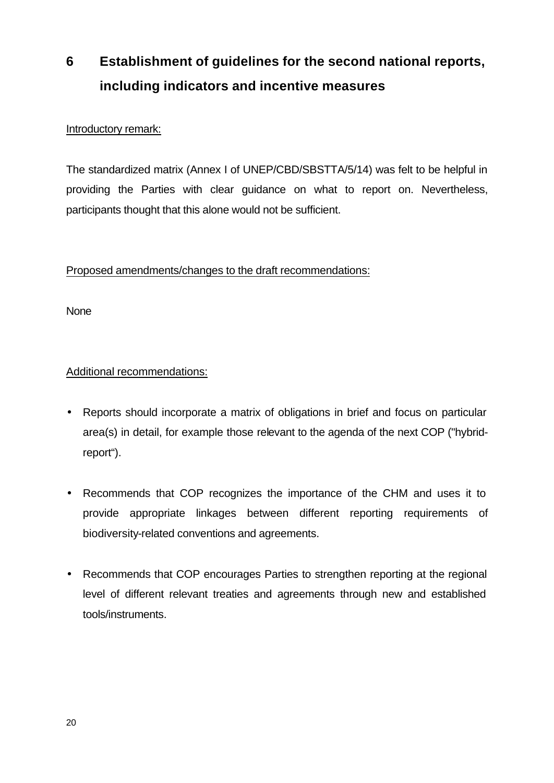# **6 Establishment of guidelines for the second national reports, including indicators and incentive measures**

#### Introductory remark:

The standardized matrix (Annex I of UNEP/CBD/SBSTTA/5/14) was felt to be helpful in providing the Parties with clear guidance on what to report on. Nevertheless, participants thought that this alone would not be sufficient.

#### Proposed amendments/changes to the draft recommendations:

**None** 

#### Additional recommendations:

- Reports should incorporate a matrix of obligations in brief and focus on particular area(s) in detail, for example those relevant to the agenda of the next COP ("hybridreport").
- Recommends that COP recognizes the importance of the CHM and uses it to provide appropriate linkages between different reporting requirements of biodiversity-related conventions and agreements.
- Recommends that COP encourages Parties to strengthen reporting at the regional level of different relevant treaties and agreements through new and established tools/instruments.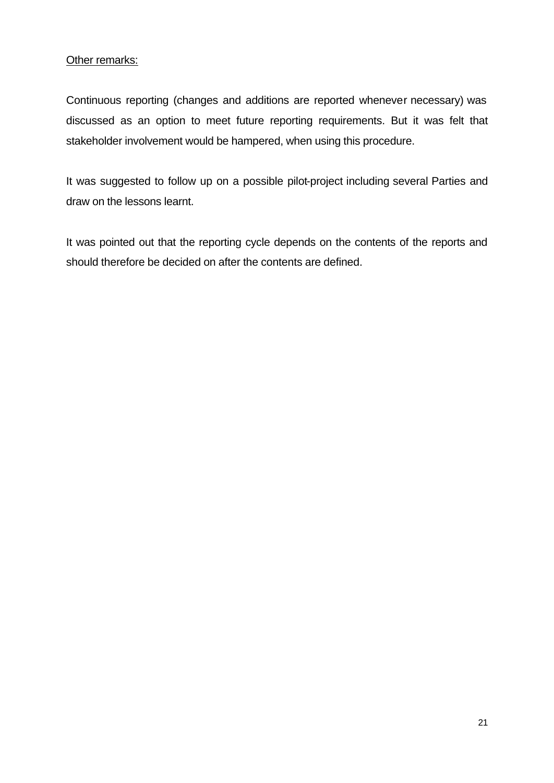Other remarks:

Continuous reporting (changes and additions are reported whenever necessary) was discussed as an option to meet future reporting requirements. But it was felt that stakeholder involvement would be hampered, when using this procedure.

It was suggested to follow up on a possible pilot-project including several Parties and draw on the lessons learnt.

It was pointed out that the reporting cycle depends on the contents of the reports and should therefore be decided on after the contents are defined.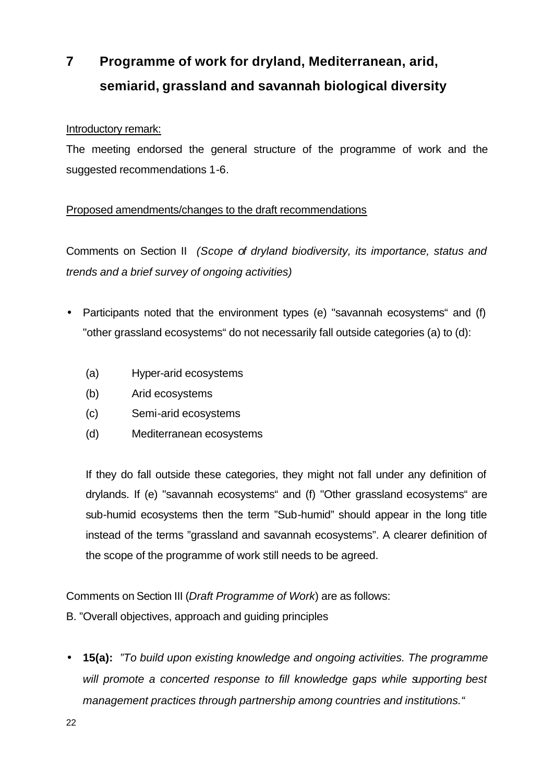# **7 Programme of work for dryland, Mediterranean, arid, semiarid, grassland and savannah biological diversity**

#### Introductory remark:

The meeting endorsed the general structure of the programme of work and the suggested recommendations 1-6.

#### Proposed amendments/changes to the draft recommendations

Comments on Section II *(Scope of dryland biodiversity, its importance, status and trends and a brief survey of ongoing activities)*

- Participants noted that the environment types (e) "savannah ecosystems" and (f) "other grassland ecosystems" do not necessarily fall outside categories (a) to (d):
	- (a) Hyper-arid ecosystems
	- (b) Arid ecosystems
	- (c) Semi-arid ecosystems
	- (d) Mediterranean ecosystems

If they do fall outside these categories, they might not fall under any definition of drylands. If (e) "savannah ecosystems" and (f) "Other grassland ecosystems" are sub-humid ecosystems then the term "Sub-humid" should appear in the long title instead of the terms "grassland and savannah ecosystems". A clearer definition of the scope of the programme of work still needs to be agreed.

Comments on Section III (*Draft Programme of Work*) are as follows:

- B. "Overall objectives, approach and guiding principles
- **15(a):** *"To build upon existing knowledge and ongoing activities. The programme*  will promote a concerted response to fill knowledge gaps while supporting best *management practices through partnership among countries and institutions."*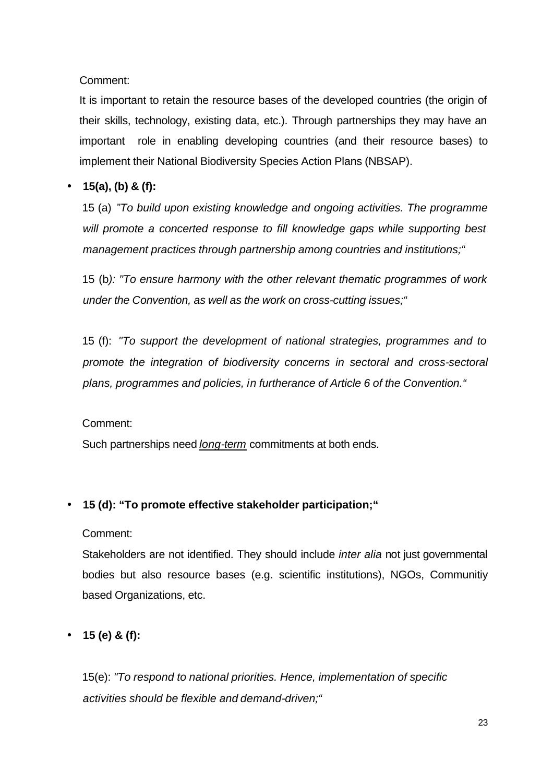Comment:

It is important to retain the resource bases of the developed countries (the origin of their skills, technology, existing data, etc.). Through partnerships they may have an important role in enabling developing countries (and their resource bases) to implement their National Biodiversity Species Action Plans (NBSAP).

#### • **15(a), (b) & (f):**

15 (a) *"To build upon existing knowledge and ongoing activities. The programme*  will promote a concerted response to fill knowledge gaps while supporting best *management practices through partnership among countries and institutions;"*

15 (b*): "To ensure harmony with the other relevant thematic programmes of work under the Convention, as well as the work on cross-cutting issues;"*

15 (f): *"To support the development of national strategies, programmes and to promote the integration of biodiversity concerns in sectoral and cross-sectoral plans, programmes and policies, in furtherance of Article 6 of the Convention."*

#### Comment:

Such partnerships need *long-term* commitments at both ends.

#### • **15 (d): "To promote effective stakeholder participation;"**

Comment:

Stakeholders are not identified. They should include *inter alia* not just governmental bodies but also resource bases (e.g. scientific institutions), NGOs, Communitiy based Organizations, etc.

• **15 (e) & (f):** 

15(e): *"To respond to national priorities. Hence, implementation of specific activities should be flexible and demand-driven;"*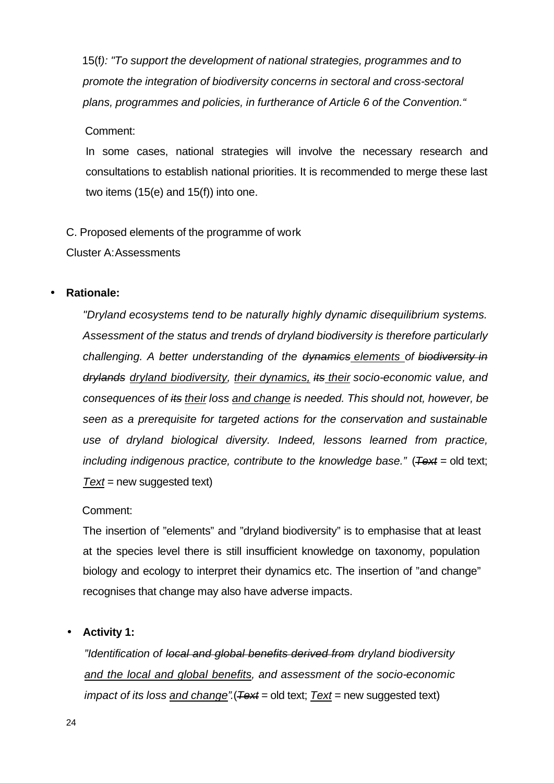15(f*): "To support the development of national strategies, programmes and to promote the integration of biodiversity concerns in sectoral and cross-sectoral plans, programmes and policies, in furtherance of Article 6 of the Convention."*

Comment:

In some cases, national strategies will involve the necessary research and consultations to establish national priorities. It is recommended to merge these last two items (15(e) and 15(f)) into one.

C. Proposed elements of the programme of work

Cluster A:Assessments

#### • **Rationale:**

*"Dryland ecosystems tend to be naturally highly dynamic disequilibrium systems. Assessment of the status and trends of dryland biodiversity is therefore particularly challenging. A better understanding of the dynamics elements of biodiversity in drylands dryland biodiversity, their dynamics, its their socio-economic value, and consequences of its their loss and change is needed. This should not, however, be seen as a prerequisite for targeted actions for the conservation and sustainable use of dryland biological diversity. Indeed, lessons learned from practice, including indigenous practice, contribute to the knowledge base."* (*Text* = old text; *Text* = new suggested text)

#### Comment:

The insertion of "elements" and "dryland biodiversity" is to emphasise that at least at the species level there is still insufficient knowledge on taxonomy, population biology and ecology to interpret their dynamics etc. The insertion of "and change" recognises that change may also have adverse impacts.

• **Activity 1:**

*"Identification of local and global benefits derived from dryland biodiversity and the local and global benefits, and assessment of the socio-economic impact of its loss and change".*(*Text* = old text; *Text* = new suggested text)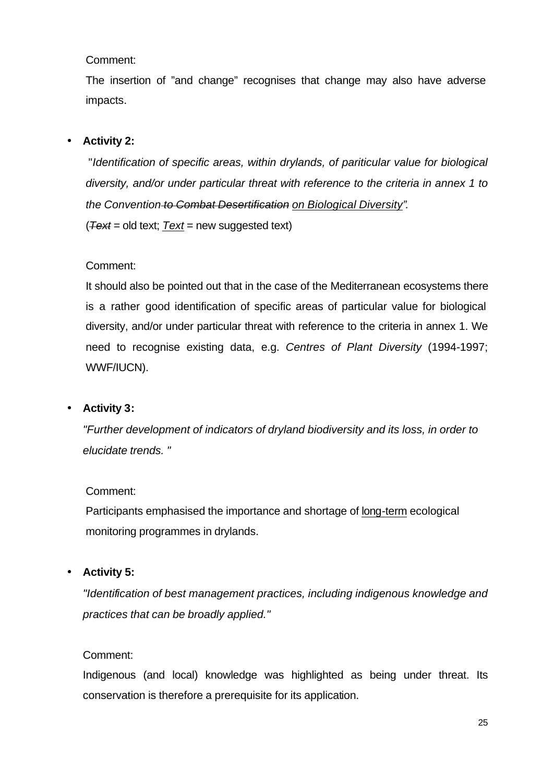Comment:

The insertion of "and change" recognises that change may also have adverse impacts.

#### • **Activity 2:**

 "*Identification of specific areas, within drylands, of pariticular value for biological diversity, and/or under particular threat with reference to the criteria in annex 1 to the Convention to Combat Desertification on Biological Diversity".* (*Text* = old text; *Text* = new suggested text)

Comment:

It should also be pointed out that in the case of the Mediterranean ecosystems there is a rather good identification of specific areas of particular value for biological diversity, and/or under particular threat with reference to the criteria in annex 1. We need to recognise existing data, e.g. *Centres of Plant Diversity* (1994-1997; WWF/IUCN).

#### • **Activity 3:**

*"Further development of indicators of dryland biodiversity and its loss, in order to elucidate trends. "*

#### Comment:

Participants emphasised the importance and shortage of long-term ecological monitoring programmes in drylands.

#### • **Activity 5:**

*"Identification of best management practices, including indigenous knowledge and practices that can be broadly applied."*

#### Comment:

Indigenous (and local) knowledge was highlighted as being under threat. Its conservation is therefore a prerequisite for its application.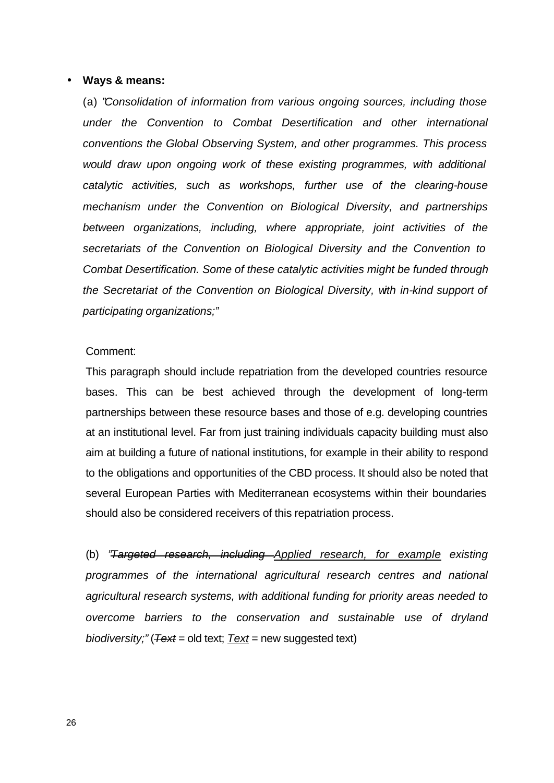#### • **Ways & means:**

(a) "*Consolidation of information from various ongoing sources, including those under the Convention to Combat Desertification and other international conventions the Global Observing System, and other programmes. This process would draw upon ongoing work of these existing programmes, with additional catalytic activities, such as workshops, further use of the clearing-house mechanism under the Convention on Biological Diversity, and partnerships between organizations, including, where appropriate, joint activities of the secretariats of the Convention on Biological Diversity and the Convention to Combat Desertification. Some of these catalytic activities might be funded through the Secretariat of the Convention on Biological Diversity, with in-kind support of participating organizations;"*

#### Comment:

This paragraph should include repatriation from the developed countries resource bases. This can be best achieved through the development of long-term partnerships between these resource bases and those of e.g. developing countries at an institutional level. Far from just training individuals capacity building must also aim at building a future of national institutions, for example in their ability to respond to the obligations and opportunities of the CBD process. It should also be noted that several European Parties with Mediterranean ecosystems within their boundaries should also be considered receivers of this repatriation process.

(b) *"Targeted research, including Applied research, for example existing programmes of the international agricultural research centres and national agricultural research systems, with additional funding for priority areas needed to overcome barriers to the conservation and sustainable use of dryland biodiversity;"* (*Text* = old text; *Text* = new suggested text)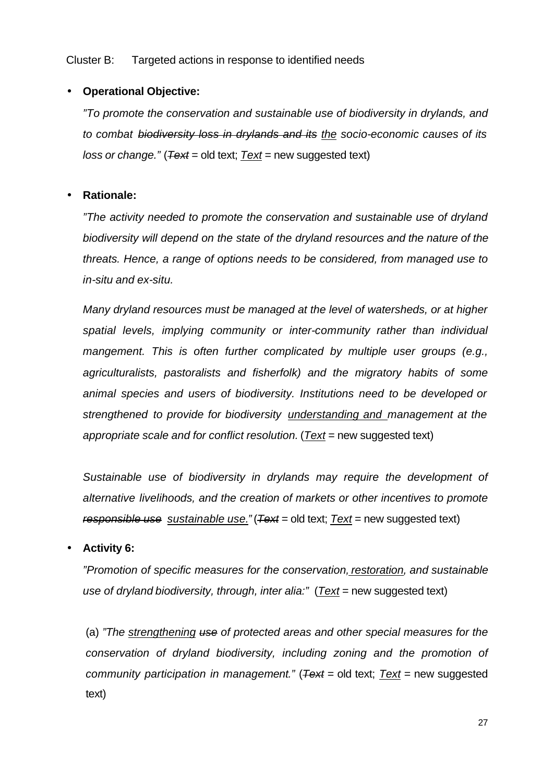Cluster B: Targeted actions in response to identified needs

#### • **Operational Objective:**

*"To promote the conservation and sustainable use of biodiversity in drylands, and to combat biodiversity loss in drylands and its the socio-economic causes of its loss or change."* (*Text* = old text; *Text* = new suggested text)

#### • **Rationale:**

*"The activity needed to promote the conservation and sustainable use of dryland biodiversity will depend on the state of the dryland resources and the nature of the threats. Hence, a range of options needs to be considered, from managed use to in-situ and ex-situ.*

*Many dryland resources must be managed at the level of watersheds, or at higher spatial levels, implying community or inter-community rather than individual mangement. This is often further complicated by multiple user groups (e.g., agriculturalists, pastoralists and fisherfolk) and the migratory habits of some animal species and users of biodiversity. Institutions need to be developed or strengthened to provide for biodiversity understanding and management at the appropriate scale and for conflict resolution.* (*Text* = new suggested text)

*Sustainable use of biodiversity in drylands may require the development of alternative livelihoods, and the creation of markets or other incentives to promote responsible use sustainable use."* (*Text* = old text; *Text* = new suggested text)

• **Activity 6:**

*"Promotion of specific measures for the conservation, restoration, and sustainable use of dryland biodiversity, through, inter alia:"* (*Text* = new suggested text)

(a) *"The strengthening use of protected areas and other special measures for the conservation of dryland biodiversity, including zoning and the promotion of community participation in management."* (*Text* = old text; *Text* = new suggested text)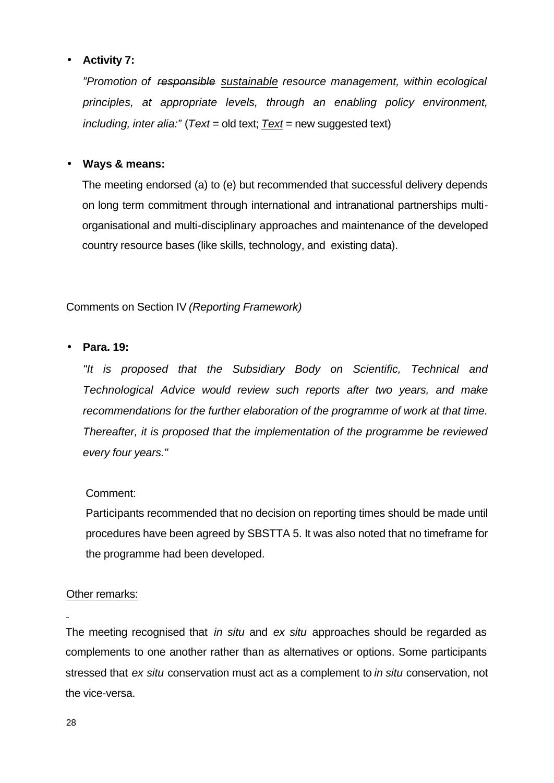#### • **Activity 7:**

*"Promotion of responsible sustainable resource management, within ecological principles, at appropriate levels, through an enabling policy environment, including, inter alia:"* (*Text* = old text; *Text* = new suggested text)

#### • **Ways & means:**

The meeting endorsed (a) to (e) but recommended that successful delivery depends on long term commitment through international and intranational partnerships multiorganisational and multi-disciplinary approaches and maintenance of the developed country resource bases (like skills, technology, and existing data).

Comments on Section IV *(Reporting Framework)*

#### • **Para. 19:**

*"It is proposed that the Subsidiary Body on Scientific, Technical and Technological Advice would review such reports after two years, and make recommendations for the further elaboration of the programme of work at that time. Thereafter, it is proposed that the implementation of the programme be reviewed every four years."*

#### Comment:

Participants recommended that no decision on reporting times should be made until procedures have been agreed by SBSTTA 5. It was also noted that no timeframe for the programme had been developed.

#### Other remarks:

The meeting recognised that *in situ* and *ex situ* approaches should be regarded as complements to one another rather than as alternatives or options. Some participants stressed that *ex situ* conservation must act as a complement to *in situ* conservation, not the vice-versa.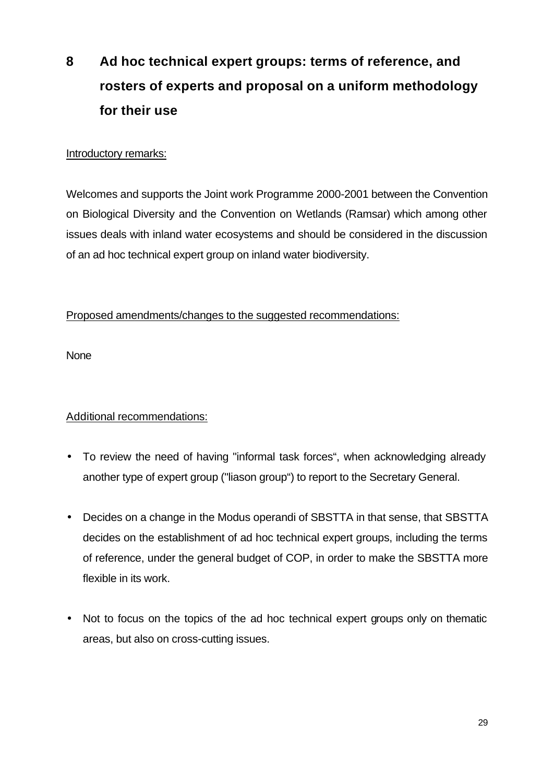# **8 Ad hoc technical expert groups: terms of reference, and rosters of experts and proposal on a uniform methodology for their use**

#### Introductory remarks:

Welcomes and supports the Joint work Programme 2000-2001 between the Convention on Biological Diversity and the Convention on Wetlands (Ramsar) which among other issues deals with inland water ecosystems and should be considered in the discussion of an ad hoc technical expert group on inland water biodiversity.

#### Proposed amendments/changes to the suggested recommendations:

**None** 

#### Additional recommendations:

- To review the need of having "informal task forces", when acknowledging already another type of expert group ("liason group") to report to the Secretary General.
- Decides on a change in the Modus operandi of SBSTTA in that sense, that SBSTTA decides on the establishment of ad hoc technical expert groups, including the terms of reference, under the general budget of COP, in order to make the SBSTTA more flexible in its work.
- Not to focus on the topics of the ad hoc technical expert groups only on thematic areas, but also on cross-cutting issues.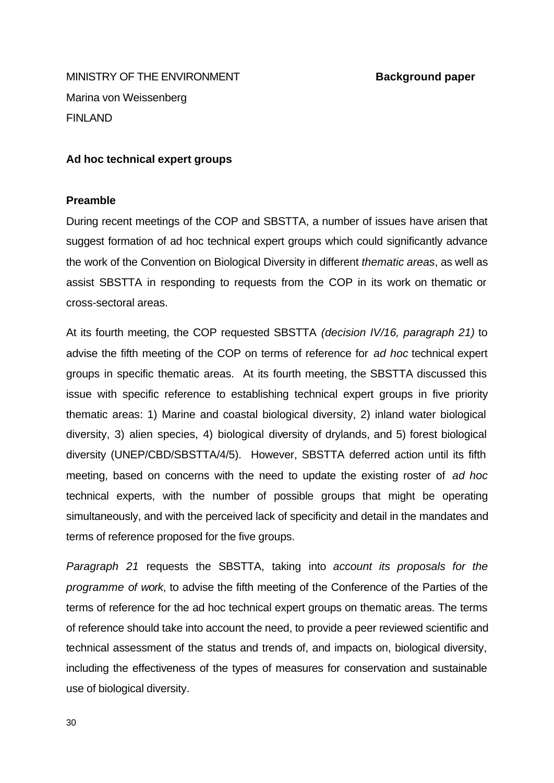**MINISTRY OF THE ENVIRONMENT SEXUAL EXAMPLE BACKGROUND paper** Marina von Weissenberg FINLAND

#### **Ad hoc technical expert groups**

#### **Preamble**

During recent meetings of the COP and SBSTTA, a number of issues have arisen that suggest formation of ad hoc technical expert groups which could significantly advance the work of the Convention on Biological Diversity in different *thematic areas*, as well as assist SBSTTA in responding to requests from the COP in its work on thematic or cross-sectoral areas.

At its fourth meeting, the COP requested SBSTTA *(decision IV/16, paragraph 21)* to advise the fifth meeting of the COP on terms of reference for *ad hoc* technical expert groups in specific thematic areas. At its fourth meeting, the SBSTTA discussed this issue with specific reference to establishing technical expert groups in five priority thematic areas: 1) Marine and coastal biological diversity, 2) inland water biological diversity, 3) alien species, 4) biological diversity of drylands, and 5) forest biological diversity (UNEP/CBD/SBSTTA/4/5). However, SBSTTA deferred action until its fifth meeting, based on concerns with the need to update the existing roster of *ad hoc* technical experts, with the number of possible groups that might be operating simultaneously, and with the perceived lack of specificity and detail in the mandates and terms of reference proposed for the five groups.

*Paragraph 21* requests the SBSTTA, taking into *account its proposals for the programme of work*, to advise the fifth meeting of the Conference of the Parties of the terms of reference for the ad hoc technical expert groups on thematic areas. The terms of reference should take into account the need, to provide a peer reviewed scientific and technical assessment of the status and trends of, and impacts on, biological diversity, including the effectiveness of the types of measures for conservation and sustainable use of biological diversity.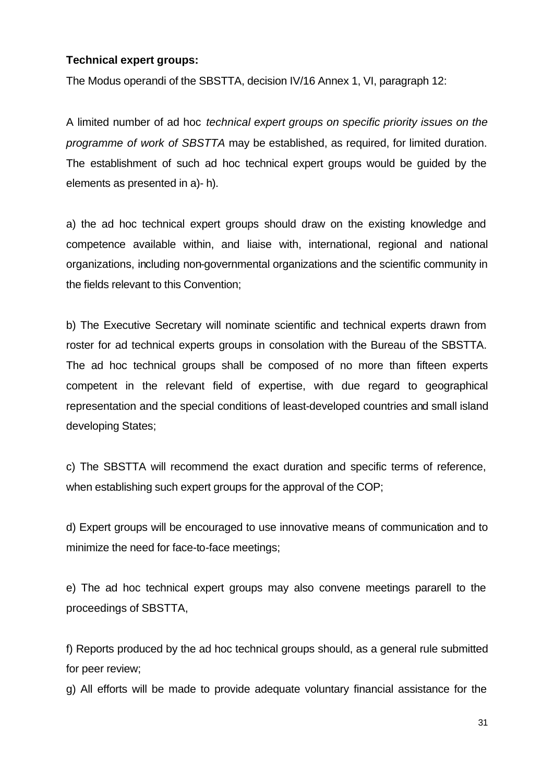#### **Technical expert groups:**

The Modus operandi of the SBSTTA, decision IV/16 Annex 1, VI, paragraph 12:

A limited number of ad hoc *technical expert groups on specific priority issues on the programme of work of SBSTTA* may be established, as required, for limited duration. The establishment of such ad hoc technical expert groups would be guided by the elements as presented in a)- h).

a) the ad hoc technical expert groups should draw on the existing knowledge and competence available within, and liaise with, international, regional and national organizations, including non-governmental organizations and the scientific community in the fields relevant to this Convention;

b) The Executive Secretary will nominate scientific and technical experts drawn from roster for ad technical experts groups in consolation with the Bureau of the SBSTTA. The ad hoc technical groups shall be composed of no more than fifteen experts competent in the relevant field of expertise, with due regard to geographical representation and the special conditions of least-developed countries and small island developing States;

c) The SBSTTA will recommend the exact duration and specific terms of reference, when establishing such expert groups for the approval of the COP;

d) Expert groups will be encouraged to use innovative means of communication and to minimize the need for face-to-face meetings;

e) The ad hoc technical expert groups may also convene meetings pararell to the proceedings of SBSTTA,

f) Reports produced by the ad hoc technical groups should, as a general rule submitted for peer review;

g) All efforts will be made to provide adequate voluntary financial assistance for the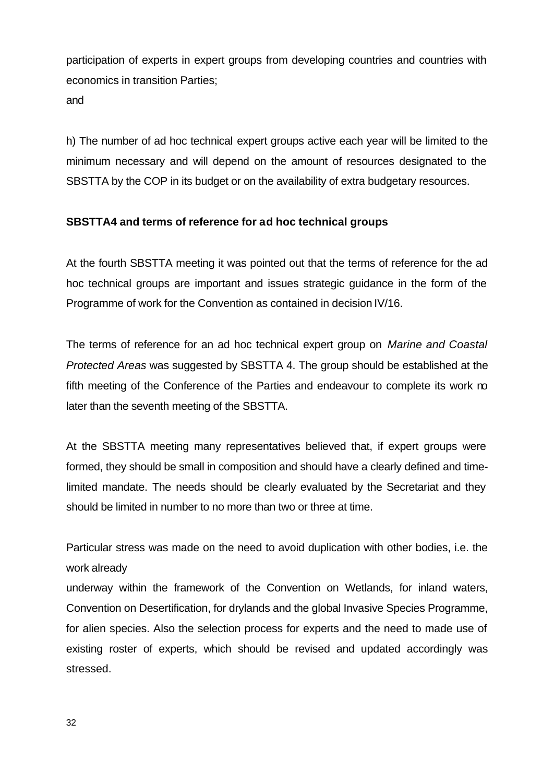participation of experts in expert groups from developing countries and countries with economics in transition Parties;

and

h) The number of ad hoc technical expert groups active each year will be limited to the minimum necessary and will depend on the amount of resources designated to the SBSTTA by the COP in its budget or on the availability of extra budgetary resources.

#### **SBSTTA4 and terms of reference for ad hoc technical groups**

At the fourth SBSTTA meeting it was pointed out that the terms of reference for the ad hoc technical groups are important and issues strategic guidance in the form of the Programme of work for the Convention as contained in decision IV/16.

The terms of reference for an ad hoc technical expert group on *Marine and Coastal Protected Areas* was suggested by SBSTTA 4. The group should be established at the fifth meeting of the Conference of the Parties and endeavour to complete its work no later than the seventh meeting of the SBSTTA.

At the SBSTTA meeting many representatives believed that, if expert groups were formed, they should be small in composition and should have a clearly defined and timelimited mandate. The needs should be clearly evaluated by the Secretariat and they should be limited in number to no more than two or three at time.

Particular stress was made on the need to avoid duplication with other bodies, i.e. the work already

underway within the framework of the Convention on Wetlands, for inland waters, Convention on Desertification, for drylands and the global Invasive Species Programme, for alien species. Also the selection process for experts and the need to made use of existing roster of experts, which should be revised and updated accordingly was stressed.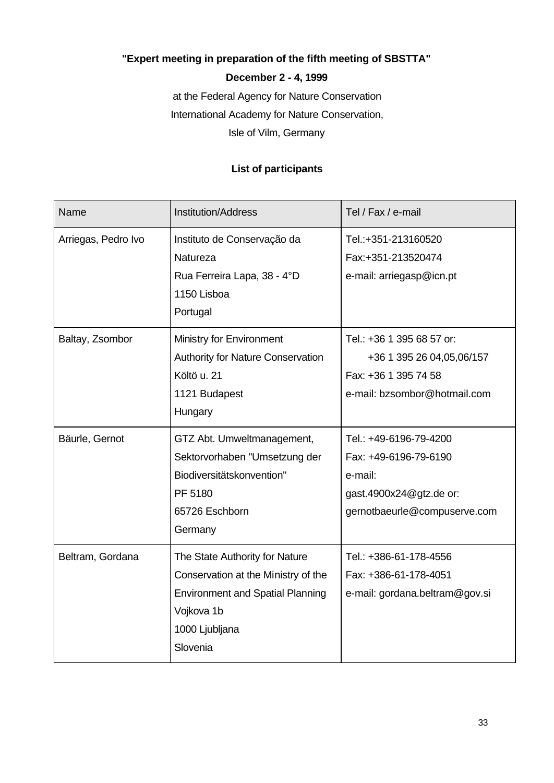### **"Expert meeting in preparation of the fifth meeting of SBSTTA"**

#### **December 2 - 4, 1999**

at the Federal Agency for Nature Conservation International Academy for Nature Conservation, Isle of Vilm, Germany

#### **List of participants**

| Name                | <b>Institution/Address</b>                                                                                                                                   | Tel / Fax / e-mail                                                                                                    |
|---------------------|--------------------------------------------------------------------------------------------------------------------------------------------------------------|-----------------------------------------------------------------------------------------------------------------------|
| Arriegas, Pedro Ivo | Instituto de Conservação da<br>Natureza<br>Rua Ferreira Lapa, 38 - 4°D<br>1150 Lisboa<br>Portugal                                                            | Tel.:+351-213160520<br>Fax:+351-213520474<br>e-mail: arriegasp@icn.pt                                                 |
| Baltay, Zsombor     | Ministry for Environment<br><b>Authority for Nature Conservation</b><br>Költö u. 21<br>1121 Budapest<br>Hungary                                              | Tel.: +36 1 395 68 57 or:<br>+36 1 395 26 04,05,06/157<br>Fax: +36 1 395 74 58<br>e-mail: bzsombor@hotmail.com        |
| Bäurle, Gernot      | GTZ Abt. Umweltmanagement,<br>Sektorvorhaben "Umsetzung der<br>Biodiversitätskonvention"<br>PF 5180<br>65726 Eschborn<br>Germany                             | Tel.: +49-6196-79-4200<br>Fax: +49-6196-79-6190<br>e-mail:<br>gast.4900x24@gtz.de or:<br>gernotbaeurle@compuserve.com |
| Beltram, Gordana    | The State Authority for Nature<br>Conservation at the Ministry of the<br><b>Environment and Spatial Planning</b><br>Vojkova 1b<br>1000 Ljubljana<br>Slovenia | Tel.: +386-61-178-4556<br>Fax: +386-61-178-4051<br>e-mail: gordana.beltram@gov.si                                     |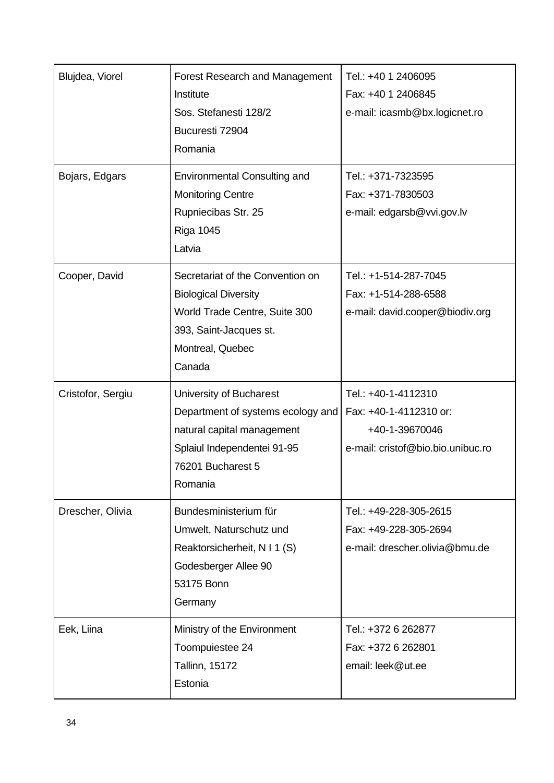| Blujdea, Viorel<br>Bojars, Edgars | <b>Forest Research and Management</b><br>Institute<br>Sos. Stefanesti 128/2<br>Bucuresti 72904<br>Romania<br><b>Environmental Consulting and</b><br><b>Monitoring Centre</b> | Tel.: +40 1 2406095<br>Fax: +40 1 2406845<br>e-mail: icasmb@bx.logicnet.ro<br>Tel.: +371-7323595<br>Fax: +371-7830503 |
|-----------------------------------|------------------------------------------------------------------------------------------------------------------------------------------------------------------------------|-----------------------------------------------------------------------------------------------------------------------|
|                                   | Rupniecibas Str. 25<br><b>Riga 1045</b><br>Latvia                                                                                                                            | e-mail: edgarsb@vvi.gov.lv                                                                                            |
| Cooper, David                     | Secretariat of the Convention on<br><b>Biological Diversity</b><br>World Trade Centre, Suite 300<br>393, Saint-Jacques st.<br>Montreal, Quebec<br>Canada                     | Tel.: +1-514-287-7045<br>Fax: +1-514-288-6588<br>e-mail: david.cooper@biodiv.org                                      |
| Cristofor, Sergiu                 | University of Bucharest<br>Department of systems ecology and<br>natural capital management<br>Splaiul Independentei 91-95<br>76201 Bucharest 5<br>Romania                    | Tel.: +40-1-4112310<br>Fax: +40-1-4112310 or:<br>+40-1-39670046<br>e-mail: cristof@bio.bio.unibuc.ro                  |
| Drescher, Olivia                  | Bundesministerium für<br>Umwelt, Naturschutz und<br>Reaktorsicherheit, N I 1 (S)<br>Godesberger Allee 90<br>53175 Bonn<br>Germany                                            | Tel.: +49-228-305-2615<br>Fax: +49-228-305-2694<br>e-mail: drescher.olivia@bmu.de                                     |
| Eek, Liina                        | Ministry of the Environment<br>Toompuiestee 24<br><b>Tallinn, 15172</b><br>Estonia                                                                                           | Tel.: +372 6 262877<br>Fax: +372 6 262801<br>email: leek@ut.ee                                                        |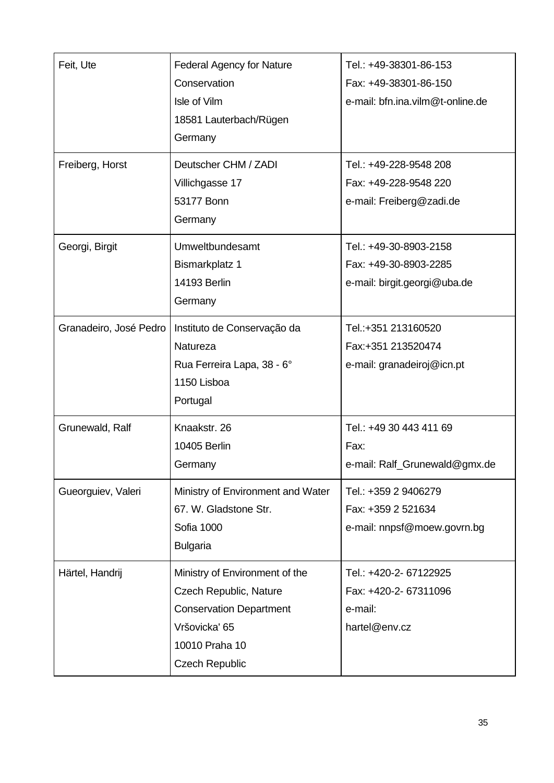| Feit, Ute<br>Freiberg, Horst | <b>Federal Agency for Nature</b><br>Conservation<br>Isle of Vilm<br>18581 Lauterbach/Rügen<br>Germany<br>Deutscher CHM / ZADI                          | Tel.: +49-38301-86-153<br>Fax: +49-38301-86-150<br>e-mail: bfn.ina.vilm@t-online.de<br>Tel.: +49-228-9548 208 |
|------------------------------|--------------------------------------------------------------------------------------------------------------------------------------------------------|---------------------------------------------------------------------------------------------------------------|
|                              | Villichgasse 17<br>53177 Bonn<br>Germany                                                                                                               | Fax: +49-228-9548 220<br>e-mail: Freiberg@zadi.de                                                             |
| Georgi, Birgit               | Umweltbundesamt<br><b>Bismarkplatz 1</b><br><b>14193 Berlin</b><br>Germany                                                                             | Tel.: +49-30-8903-2158<br>Fax: +49-30-8903-2285<br>e-mail: birgit.georgi@uba.de                               |
| Granadeiro, José Pedro       | Instituto de Conservação da<br>Natureza<br>Rua Ferreira Lapa, 38 - 6°<br>1150 Lisboa<br>Portugal                                                       | Tel.:+351 213160520<br>Fax:+351 213520474<br>e-mail: granadeiroj@icn.pt                                       |
| Grunewald, Ralf              | Knaakstr. 26<br>10405 Berlin<br>Germany                                                                                                                | Tel.: +49 30 443 411 69<br>Fax:<br>e-mail: Ralf_Grunewald@gmx.de                                              |
| Gueorguiev, Valeri           | Ministry of Environment and Water<br>67. W. Gladstone Str.<br>Sofia 1000<br><b>Bulgaria</b>                                                            | Tel.: +359 2 9406279<br>Fax: +359 2 521634<br>e-mail: nnpsf@moew.govrn.bg                                     |
| Härtel, Handrij              | Ministry of Environment of the<br>Czech Republic, Nature<br><b>Conservation Department</b><br>Vršovicka' 65<br>10010 Praha 10<br><b>Czech Republic</b> | Tel.: +420-2- 67122925<br>Fax: +420-2- 67311096<br>e-mail:<br>hartel@env.cz                                   |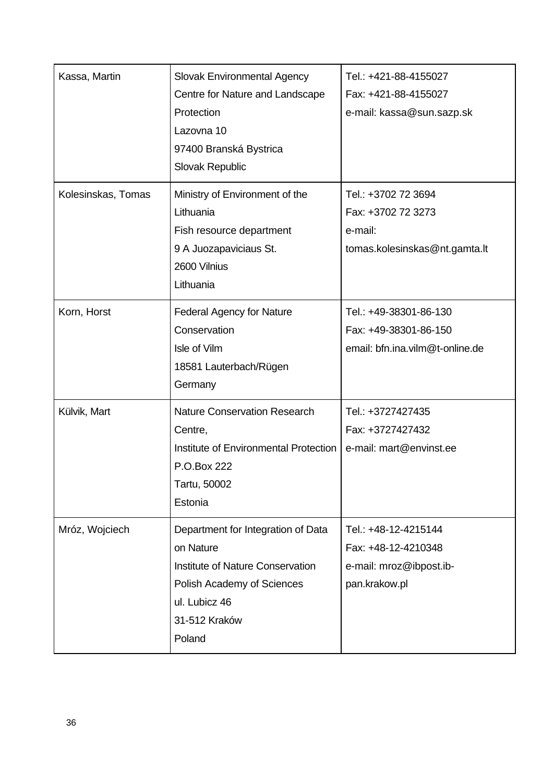| Kassa, Martin      | Slovak Environmental Agency<br>Centre for Nature and Landscape<br>Protection<br>Lazovna 10<br>97400 Branská Bystrica<br>Slovak Republic                       | Tel.: +421-88-4155027<br>Fax: +421-88-4155027<br>e-mail: kassa@sun.sazp.sk              |
|--------------------|---------------------------------------------------------------------------------------------------------------------------------------------------------------|-----------------------------------------------------------------------------------------|
| Kolesinskas, Tomas | Ministry of Environment of the<br>Lithuania<br>Fish resource department<br>9 A Juozapaviciaus St.<br>2600 Vilnius<br>Lithuania                                | Tel.: +3702 72 3694<br>Fax: +3702 72 3273<br>e-mail:<br>tomas.kolesinskas@nt.gamta.lt   |
| Korn, Horst        | <b>Federal Agency for Nature</b><br>Conservation<br>Isle of Vilm<br>18581 Lauterbach/Rügen<br>Germany                                                         | Tel.: +49-38301-86-130<br>Fax: +49-38301-86-150<br>email: bfn.ina.vilm@t-online.de      |
| Külvik, Mart       | <b>Nature Conservation Research</b><br>Centre,<br>Institute of Environmental Protection<br>P.O.Box 222<br>Tartu, 50002<br>Estonia                             | Tel.: +3727427435<br>Fax: +3727427432<br>e-mail: mart@envinst.ee                        |
| Mróz, Wojciech     | Department for Integration of Data<br>on Nature<br>Institute of Nature Conservation<br>Polish Academy of Sciences<br>ul. Lubicz 46<br>31-512 Kraków<br>Poland | Tel.: +48-12-4215144<br>Fax: +48-12-4210348<br>e-mail: mroz@ibpost.ib-<br>pan.krakow.pl |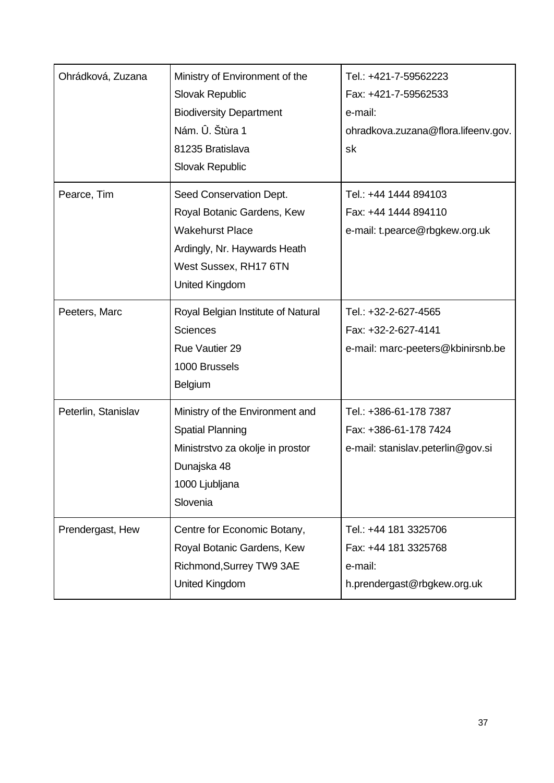| Ohrádková, Zuzana   | Ministry of Environment of the     | Tel.: +421-7-59562223               |
|---------------------|------------------------------------|-------------------------------------|
|                     | Slovak Republic                    | Fax: +421-7-59562533                |
|                     | <b>Biodiversity Department</b>     | e-mail:                             |
|                     | Nám. Û. Štùra 1                    | ohradkova.zuzana@flora.lifeenv.gov. |
|                     | 81235 Bratislava                   | sk                                  |
|                     | Slovak Republic                    |                                     |
| Pearce, Tim         | Seed Conservation Dept.            | Tel.: +44 1444 894103               |
|                     | Royal Botanic Gardens, Kew         | Fax: +44 1444 894110                |
|                     | <b>Wakehurst Place</b>             | e-mail: t.pearce@rbgkew.org.uk      |
|                     | Ardingly, Nr. Haywards Heath       |                                     |
|                     | West Sussex, RH17 6TN              |                                     |
|                     | <b>United Kingdom</b>              |                                     |
| Peeters, Marc       | Royal Belgian Institute of Natural | Tel.: +32-2-627-4565                |
|                     | <b>Sciences</b>                    | Fax: +32-2-627-4141                 |
|                     | <b>Rue Vautier 29</b>              | e-mail: marc-peeters@kbinirsnb.be   |
|                     | 1000 Brussels                      |                                     |
|                     | Belgium                            |                                     |
| Peterlin, Stanislav | Ministry of the Environment and    | Tel.: +386-61-178 7387              |
|                     | <b>Spatial Planning</b>            | Fax: +386-61-178 7424               |
|                     | Ministrstvo za okolje in prostor   | e-mail: stanislav.peterlin@gov.si   |
|                     | Dunajska 48                        |                                     |
|                     | 1000 Ljubljana                     |                                     |
|                     | Slovenia                           |                                     |
| Prendergast, Hew    | Centre for Economic Botany,        | Tel.: +44 181 3325706               |
|                     | Royal Botanic Gardens, Kew         | Fax: +44 181 3325768                |
|                     | Richmond, Surrey TW9 3AE           | e-mail:                             |
|                     | United Kingdom                     | h.prendergast@rbgkew.org.uk         |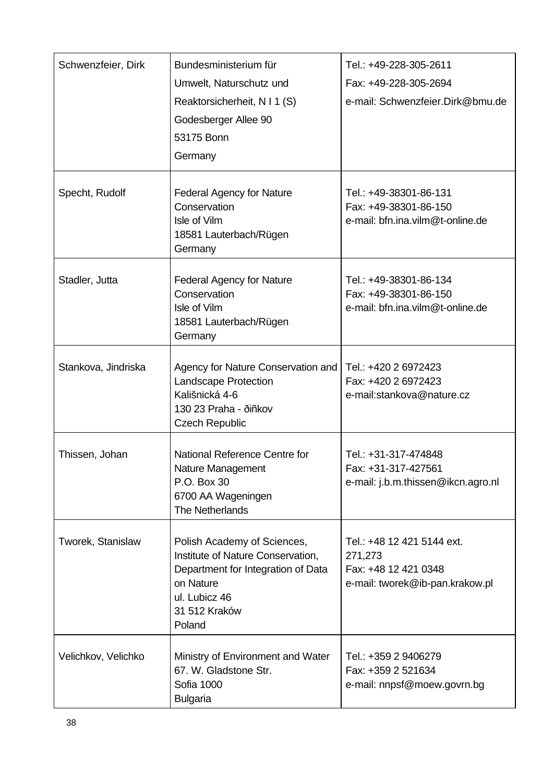| Schwenzfeier, Dirk  | Bundesministerium für<br>Umwelt, Naturschutz und<br>Reaktorsicherheit, N I 1 (S)<br>Godesberger Allee 90<br>53175 Bonn<br>Germany                               | Tel.: +49-228-305-2611<br>Fax: +49-228-305-2694<br>e-mail: Schwenzfeier.Dirk@bmu.de              |
|---------------------|-----------------------------------------------------------------------------------------------------------------------------------------------------------------|--------------------------------------------------------------------------------------------------|
| Specht, Rudolf      | <b>Federal Agency for Nature</b><br>Conservation<br>Isle of Vilm<br>18581 Lauterbach/Rügen<br>Germany                                                           | Tel.: +49-38301-86-131<br>Fax: +49-38301-86-150<br>e-mail: bfn.ina.vilm@t-online.de              |
| Stadler, Jutta      | <b>Federal Agency for Nature</b><br>Conservation<br>Isle of Vilm<br>18581 Lauterbach/Rügen<br>Germany                                                           | Tel.: +49-38301-86-134<br>Fax: +49-38301-86-150<br>e-mail: bfn.ina.vilm@t-online.de              |
| Stankova, Jindriska | Agency for Nature Conservation and<br>Landscape Protection<br>Kališnická 4-6<br>130 23 Praha - ðiñkov<br><b>Czech Republic</b>                                  | Tel.: +420 2 6972423<br>Fax: +420 2 6972423<br>e-mail:stankova@nature.cz                         |
| Thissen, Johan      | National Reference Centre for<br>Nature Management<br>P.O. Box 30<br>6700 AA Wageningen<br>The Netherlands                                                      | Tel.: +31-317-474848<br>Fax: +31-317-427561<br>e-mail: j.b.m.thissen@ikcn.agro.nl                |
| Tworek, Stanislaw   | Polish Academy of Sciences,<br>Institute of Nature Conservation,<br>Department for Integration of Data<br>on Nature<br>ul. Lubicz 46<br>31 512 Kraków<br>Poland | Tel.: +48 12 421 5144 ext.<br>271,273<br>Fax: +48 12 421 0348<br>e-mail: tworek@ib-pan.krakow.pl |
| Velichkov, Velichko | Ministry of Environment and Water<br>67. W. Gladstone Str.<br>Sofia 1000<br><b>Bulgaria</b>                                                                     | Tel.: +359 2 9406279<br>Fax: +359 2 521634<br>e-mail: nnpsf@moew.govrn.bg                        |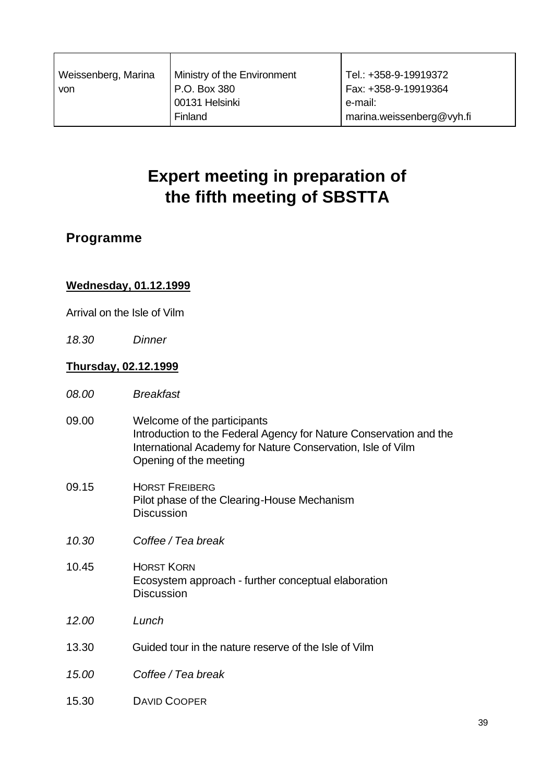| Weissenberg, Marina | Ministry of the Environment | Tel.: +358-9-19919372     |
|---------------------|-----------------------------|---------------------------|
| von                 | P.O. Box 380                | Fax: +358-9-19919364      |
|                     | 00131 Helsinki              | e-mail:                   |
|                     | Finland                     | marina.weissenberg@vyh.fi |

# **Expert meeting in preparation of the fifth meeting of SBSTTA**

### **Programme**

#### **Wednesday, 01.12.1999**

Arrival on the Isle of Vilm

*18.30 Dinner*

#### **Thursday, 02.12.1999**

- *08.00 Breakfast*
- 09.00 Welcome of the participants Introduction to the Federal Agency for Nature Conservation and the International Academy for Nature Conservation, Isle of Vilm Opening of the meeting
- 09.15 HORST FREIBERG Pilot phase of the Clearing-House Mechanism **Discussion**
- *10.30 Coffee / Tea break*
- 10.45 HORST KORN Ecosystem approach - further conceptual elaboration **Discussion**
- *12.00 Lunch*
- 13.30 Guided tour in the nature reserve of the Isle of Vilm
- *15.00 Coffee / Tea break*
- 15.30 DAVID COOPER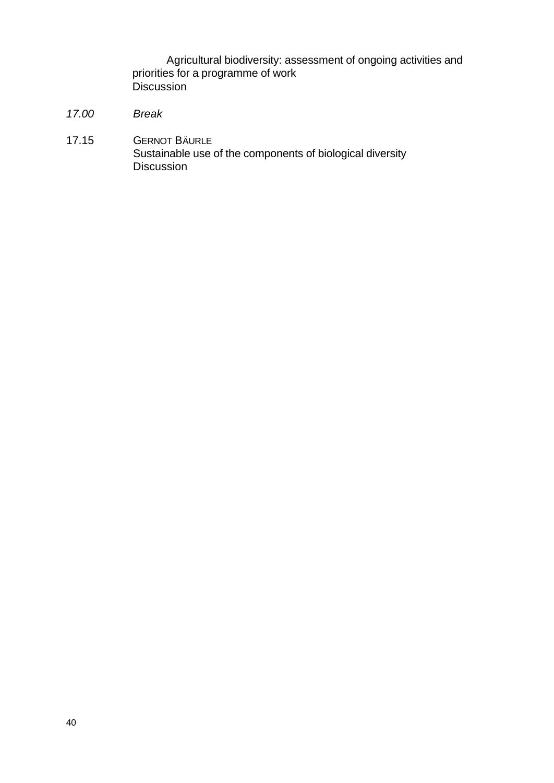Agricultural biodiversity: assessment of ongoing activities and priorities for a programme of work Discussion

- *17.00 Break*
- 17.15 GERNOT BÄURLE Sustainable use of the components of biological diversity Discussion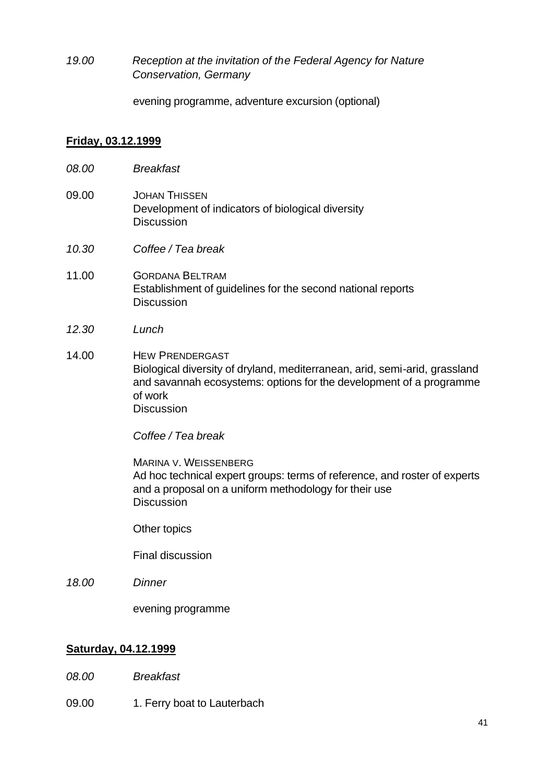*19.00 Reception at the invitation of the Federal Agency for Nature Conservation, Germany*

evening programme, adventure excursion (optional)

#### **Friday, 03.12.1999**

- *08.00 Breakfast*
- 09.00 JOHAN THISSEN Development of indicators of biological diversity **Discussion**
- *10.30 Coffee / Tea break*
- 11.00 GORDANA BELTRAM Establishment of guidelines for the second national reports **Discussion**
- *12.30 Lunch*
- 14.00 HEW PRENDERGAST Biological diversity of dryland, mediterranean, arid, semi-arid, grassland and savannah ecosystems: options for the development of a programme of work **Discussion**

*Coffee / Tea break*

MARINA V. WEISSENBERG Ad hoc technical expert groups: terms of reference, and roster of experts and a proposal on a uniform methodology for their use **Discussion** 

Other topics

Final discussion

*18.00 Dinner*

evening programme

#### **Saturday, 04.12.1999**

- *08.00 Breakfast*
- 09.00 1. Ferry boat to Lauterbach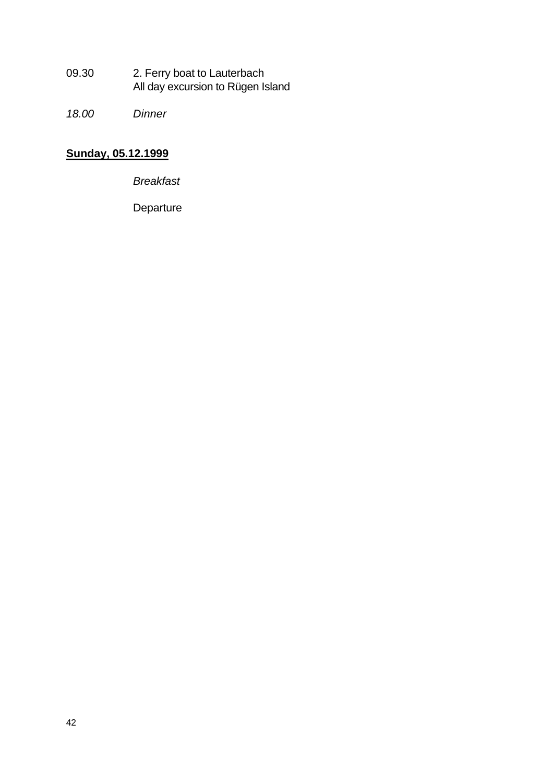- 09.30 2. Ferry boat to Lauterbach All day excursion to Rügen Island
- *18.00 Dinner*

# **Sunday, 05.12.1999**

*Breakfast* 

**Departure**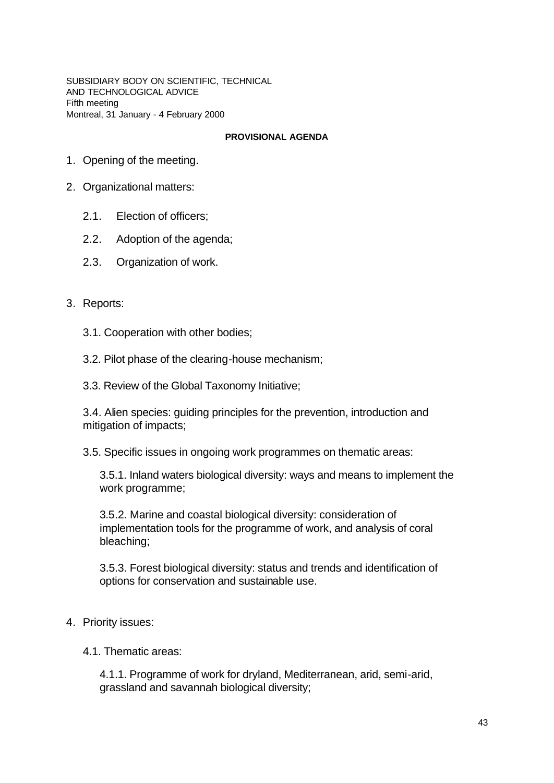SUBSIDIARY BODY ON SCIENTIFIC, TECHNICAL AND TECHNOLOGICAL ADVICE Fifth meeting Montreal, 31 January - 4 February 2000

#### **PROVISIONAL AGENDA**

- 1. Opening of the meeting.
- 2. Organizational matters:
	- 2.1. Election of officers;
	- 2.2. Adoption of the agenda;
	- 2.3. Organization of work.
- 3. Reports:
	- 3.1. Cooperation with other bodies;
	- 3.2. Pilot phase of the clearing-house mechanism;
	- 3.3. Review of the Global Taxonomy Initiative;

3.4. Alien species: guiding principles for the prevention, introduction and mitigation of impacts;

3.5. Specific issues in ongoing work programmes on thematic areas:

3.5.1. Inland waters biological diversity: ways and means to implement the work programme;

3.5.2. Marine and coastal biological diversity: consideration of implementation tools for the programme of work, and analysis of coral bleaching;

3.5.3. Forest biological diversity: status and trends and identification of options for conservation and sustainable use.

- 4. Priority issues:
	- 4.1. Thematic areas:

4.1.1. Programme of work for dryland, Mediterranean, arid, semi-arid, grassland and savannah biological diversity;